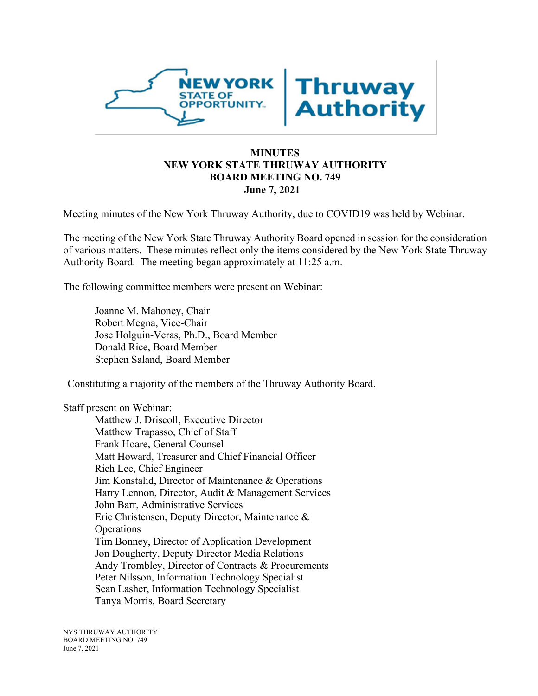

## **MINUTES NEW YORK STATE THRUWAY AUTHORITY BOARD MEETING NO. 749 June 7, 2021**

Meeting minutes of the New York Thruway Authority, due to COVID19 was held by Webinar.

The meeting of the New York State Thruway Authority Board opened in session for the consideration of various matters. These minutes reflect only the items considered by the New York State Thruway Authority Board. The meeting began approximately at 11:25 a.m.

The following committee members were present on Webinar:

Joanne M. Mahoney, Chair Robert Megna, Vice-Chair Jose Holguin-Veras, Ph.D., Board Member Donald Rice, Board Member Stephen Saland, Board Member

Constituting a majority of the members of the Thruway Authority Board.

Staff present on Webinar:

Matthew J. Driscoll, Executive Director Matthew Trapasso, Chief of Staff Frank Hoare, General Counsel Matt Howard, Treasurer and Chief Financial Officer Rich Lee, Chief Engineer Jim Konstalid, Director of Maintenance & Operations Harry Lennon, Director, Audit & Management Services John Barr, Administrative Services Eric Christensen, Deputy Director, Maintenance & **Operations** Tim Bonney, Director of Application Development Jon Dougherty, Deputy Director Media Relations Andy Trombley, Director of Contracts & Procurements Peter Nilsson, Information Technology Specialist Sean Lasher, Information Technology Specialist Tanya Morris, Board Secretary

NYS THRUWAY AUTHORITY BOARD MEETING NO. 749 June 7, 2021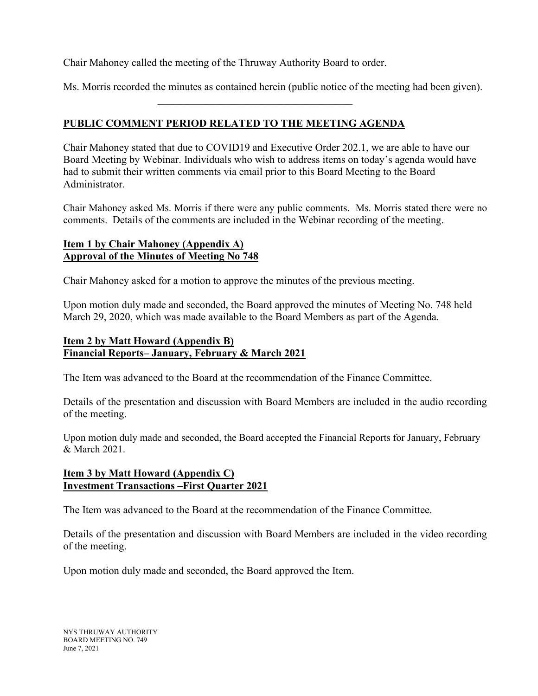Chair Mahoney called the meeting of the Thruway Authority Board to order.

Ms. Morris recorded the minutes as contained herein (public notice of the meeting had been given).

# **PUBLIC COMMENT PERIOD RELATED TO THE MEETING AGENDA**

Chair Mahoney stated that due to COVID19 and Executive Order 202.1, we are able to have our Board Meeting by Webinar. Individuals who wish to address items on today's agenda would have had to submit their written comments via email prior to this Board Meeting to the Board Administrator.

Chair Mahoney asked Ms. Morris if there were any public comments. Ms. Morris stated there were no comments. Details of the comments are included in the Webinar recording of the meeting.

## **Item 1 by Chair Mahoney (Appendix A) Approval of the Minutes of Meeting No 748**

Chair Mahoney asked for a motion to approve the minutes of the previous meeting.

Upon motion duly made and seconded, the Board approved the minutes of Meeting No. 748 held March 29, 2020, which was made available to the Board Members as part of the Agenda.

# **Item 2 by Matt Howard (Appendix B) Financial Reports– January, February & March 2021**

The Item was advanced to the Board at the recommendation of the Finance Committee.

Details of the presentation and discussion with Board Members are included in the audio recording of the meeting.

Upon motion duly made and seconded, the Board accepted the Financial Reports for January, February & March 2021.

## **Item 3 by Matt Howard (Appendix C) Investment Transactions –First Quarter 2021**

The Item was advanced to the Board at the recommendation of the Finance Committee.

Details of the presentation and discussion with Board Members are included in the video recording of the meeting.

Upon motion duly made and seconded, the Board approved the Item.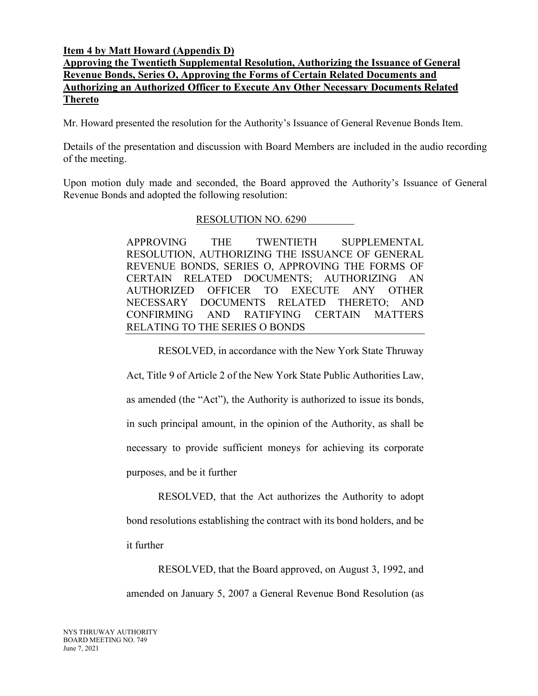#### **Item 4 by Matt Howard (Appendix D)**

# **Approving the Twentieth Supplemental Resolution, Authorizing the Issuance of General Revenue Bonds, Series O, Approving the Forms of Certain Related Documents and Authorizing an Authorized Officer to Execute Any Other Necessary Documents Related Thereto**

Mr. Howard presented the resolution for the Authority's Issuance of General Revenue Bonds Item.

Details of the presentation and discussion with Board Members are included in the audio recording of the meeting.

Upon motion duly made and seconded, the Board approved the Authority's Issuance of General Revenue Bonds and adopted the following resolution:

#### RESOLUTION NO. 6290

APPROVING THE TWENTIETH SUPPLEMENTAL RESOLUTION, AUTHORIZING THE ISSUANCE OF GENERAL REVENUE BONDS, SERIES O, APPROVING THE FORMS OF CERTAIN RELATED DOCUMENTS; AUTHORIZING AN AUTHORIZED OFFICER TO EXECUTE ANY OTHER NECESSARY DOCUMENTS RELATED THERETO; AND CONFIRMING AND RATIFYING CERTAIN MATTERS RELATING TO THE SERIES O BONDS

RESOLVED, in accordance with the New York State Thruway

Act, Title 9 of Article 2 of the New York State Public Authorities Law, as amended (the "Act"), the Authority is authorized to issue its bonds, in such principal amount, in the opinion of the Authority, as shall be necessary to provide sufficient moneys for achieving its corporate purposes, and be it further

RESOLVED, that the Act authorizes the Authority to adopt bond resolutions establishing the contract with its bond holders, and be it further

RESOLVED, that the Board approved, on August 3, 1992, and amended on January 5, 2007 a General Revenue Bond Resolution (as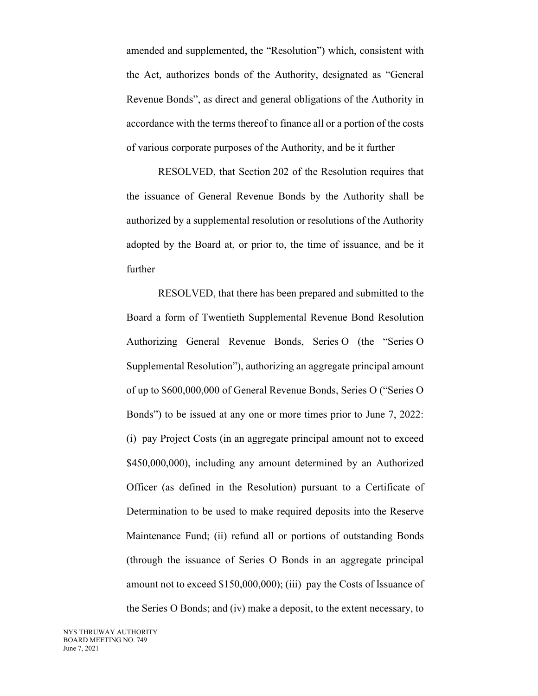amended and supplemented, the "Resolution") which, consistent with the Act, authorizes bonds of the Authority, designated as "General Revenue Bonds", as direct and general obligations of the Authority in accordance with the terms thereof to finance all or a portion of the costs of various corporate purposes of the Authority, and be it further

RESOLVED, that Section 202 of the Resolution requires that the issuance of General Revenue Bonds by the Authority shall be authorized by a supplemental resolution or resolutions of the Authority adopted by the Board at, or prior to, the time of issuance, and be it further

RESOLVED, that there has been prepared and submitted to the Board a form of Twentieth Supplemental Revenue Bond Resolution Authorizing General Revenue Bonds, Series O (the "Series O Supplemental Resolution"), authorizing an aggregate principal amount of up to \$600,000,000 of General Revenue Bonds, Series O ("Series O Bonds") to be issued at any one or more times prior to June 7, 2022: (i) pay Project Costs (in an aggregate principal amount not to exceed \$450,000,000), including any amount determined by an Authorized Officer (as defined in the Resolution) pursuant to a Certificate of Determination to be used to make required deposits into the Reserve Maintenance Fund; (ii) refund all or portions of outstanding Bonds (through the issuance of Series O Bonds in an aggregate principal amount not to exceed \$150,000,000); (iii) pay the Costs of Issuance of the Series O Bonds; and (iv) make a deposit, to the extent necessary, to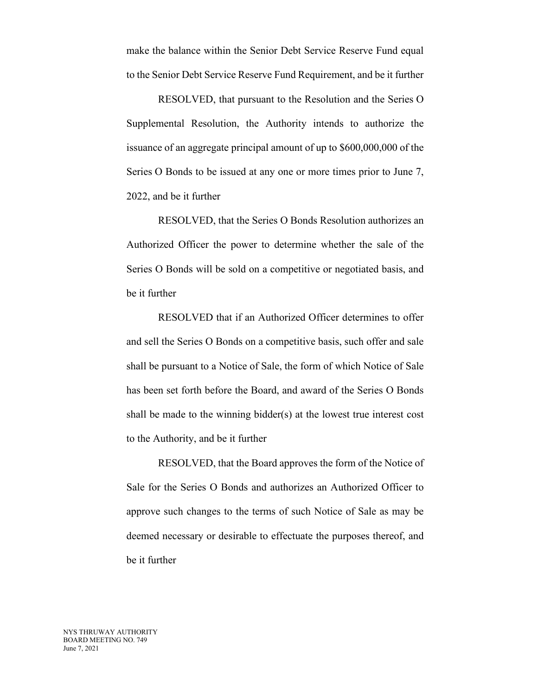make the balance within the Senior Debt Service Reserve Fund equal to the Senior Debt Service Reserve Fund Requirement, and be it further

RESOLVED, that pursuant to the Resolution and the Series O Supplemental Resolution, the Authority intends to authorize the issuance of an aggregate principal amount of up to \$600,000,000 of the Series O Bonds to be issued at any one or more times prior to June 7, 2022, and be it further

RESOLVED, that the Series O Bonds Resolution authorizes an Authorized Officer the power to determine whether the sale of the Series O Bonds will be sold on a competitive or negotiated basis, and be it further

RESOLVED that if an Authorized Officer determines to offer and sell the Series O Bonds on a competitive basis, such offer and sale shall be pursuant to a Notice of Sale, the form of which Notice of Sale has been set forth before the Board, and award of the Series O Bonds shall be made to the winning bidder(s) at the lowest true interest cost to the Authority, and be it further

RESOLVED, that the Board approves the form of the Notice of Sale for the Series O Bonds and authorizes an Authorized Officer to approve such changes to the terms of such Notice of Sale as may be deemed necessary or desirable to effectuate the purposes thereof, and be it further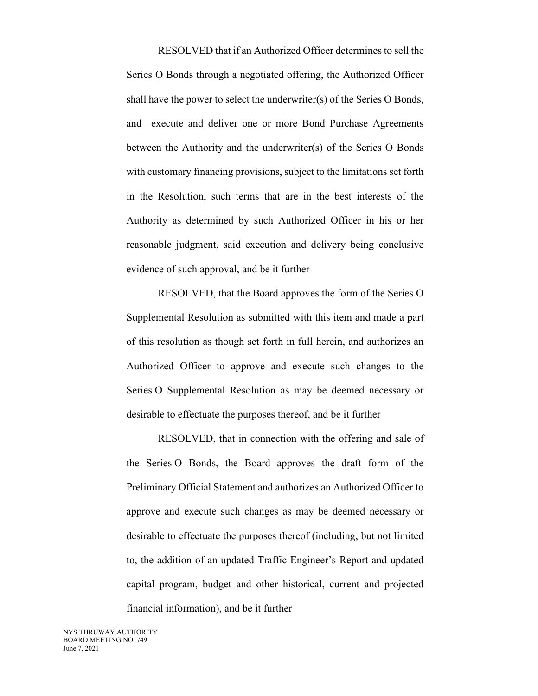RESOLVED that if an Authorized Officer determines to sell the Series O Bonds through a negotiated offering, the Authorized Officer shall have the power to select the underwriter(s) of the Series O Bonds, and execute and deliver one or more Bond Purchase Agreements between the Authority and the underwriter(s) of the Series O Bonds with customary financing provisions, subject to the limitations set forth in the Resolution, such terms that are in the best interests of the Authority as determined by such Authorized Officer in his or her reasonable judgment, said execution and delivery being conclusive evidence of such approval, and be it further

RESOLVED, that the Board approves the form of the Series O Supplemental Resolution as submitted with this item and made a part of this resolution as though set forth in full herein, and authorizes an Authorized Officer to approve and execute such changes to the Series O Supplemental Resolution as may be deemed necessary or desirable to effectuate the purposes thereof, and be it further

RESOLVED, that in connection with the offering and sale of the Series O Bonds, the Board approves the draft form of the Preliminary Official Statement and authorizes an Authorized Officer to approve and execute such changes as may be deemed necessary or desirable to effectuate the purposes thereof (including, but not limited to, the addition of an updated Traffic Engineer's Report and updated capital program, budget and other historical, current and projected financial information), and be it further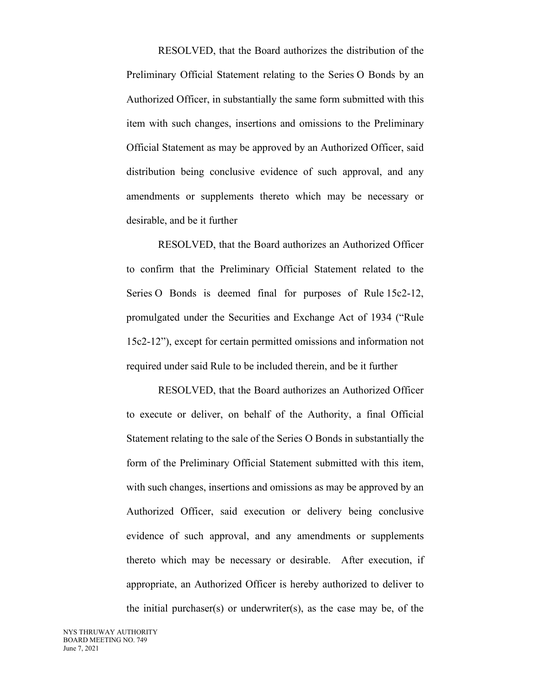RESOLVED, that the Board authorizes the distribution of the Preliminary Official Statement relating to the Series O Bonds by an Authorized Officer, in substantially the same form submitted with this item with such changes, insertions and omissions to the Preliminary Official Statement as may be approved by an Authorized Officer, said distribution being conclusive evidence of such approval, and any amendments or supplements thereto which may be necessary or desirable, and be it further

RESOLVED, that the Board authorizes an Authorized Officer to confirm that the Preliminary Official Statement related to the Series O Bonds is deemed final for purposes of Rule 15c2-12, promulgated under the Securities and Exchange Act of 1934 ("Rule 15c2-12"), except for certain permitted omissions and information not required under said Rule to be included therein, and be it further

RESOLVED, that the Board authorizes an Authorized Officer to execute or deliver, on behalf of the Authority, a final Official Statement relating to the sale of the Series O Bonds in substantially the form of the Preliminary Official Statement submitted with this item, with such changes, insertions and omissions as may be approved by an Authorized Officer, said execution or delivery being conclusive evidence of such approval, and any amendments or supplements thereto which may be necessary or desirable. After execution, if appropriate, an Authorized Officer is hereby authorized to deliver to the initial purchaser(s) or underwriter(s), as the case may be, of the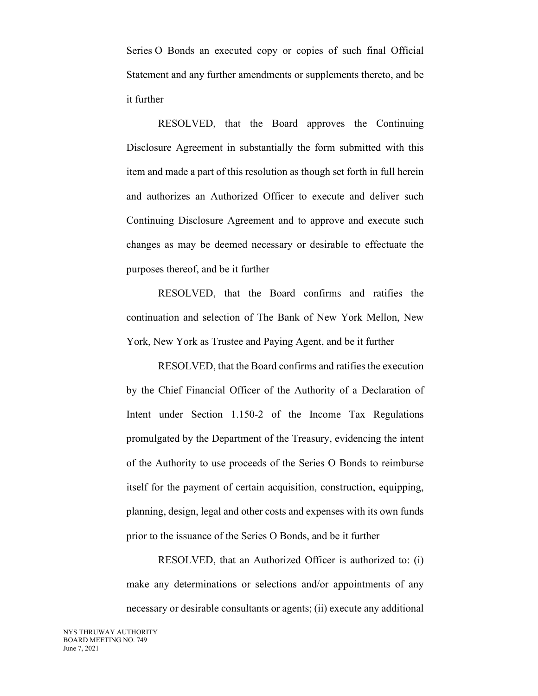Series O Bonds an executed copy or copies of such final Official Statement and any further amendments or supplements thereto, and be it further

RESOLVED, that the Board approves the Continuing Disclosure Agreement in substantially the form submitted with this item and made a part of this resolution as though set forth in full herein and authorizes an Authorized Officer to execute and deliver such Continuing Disclosure Agreement and to approve and execute such changes as may be deemed necessary or desirable to effectuate the purposes thereof, and be it further

RESOLVED, that the Board confirms and ratifies the continuation and selection of The Bank of New York Mellon, New York, New York as Trustee and Paying Agent, and be it further

RESOLVED, that the Board confirms and ratifies the execution by the Chief Financial Officer of the Authority of a Declaration of Intent under Section 1.150-2 of the Income Tax Regulations promulgated by the Department of the Treasury, evidencing the intent of the Authority to use proceeds of the Series O Bonds to reimburse itself for the payment of certain acquisition, construction, equipping, planning, design, legal and other costs and expenses with its own funds prior to the issuance of the Series O Bonds, and be it further

RESOLVED, that an Authorized Officer is authorized to: (i) make any determinations or selections and/or appointments of any necessary or desirable consultants or agents; (ii) execute any additional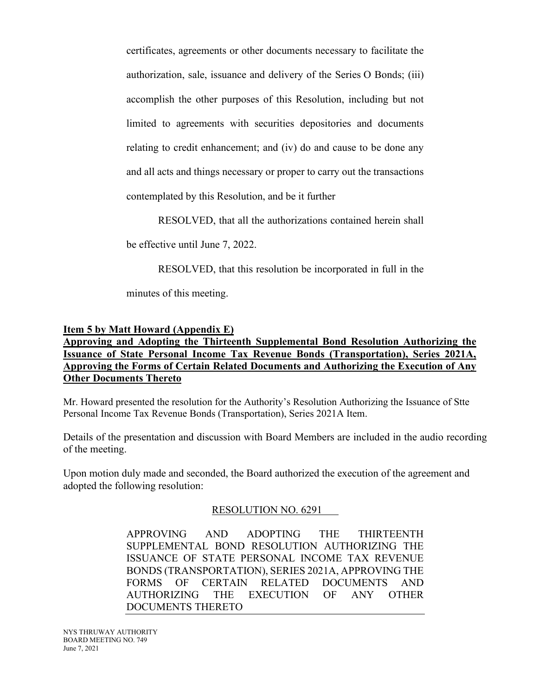certificates, agreements or other documents necessary to facilitate the authorization, sale, issuance and delivery of the Series O Bonds; (iii) accomplish the other purposes of this Resolution, including but not limited to agreements with securities depositories and documents relating to credit enhancement; and (iv) do and cause to be done any and all acts and things necessary or proper to carry out the transactions contemplated by this Resolution, and be it further

RESOLVED, that all the authorizations contained herein shall

be effective until June 7, 2022.

RESOLVED, that this resolution be incorporated in full in the

minutes of this meeting.

#### **Item 5 by Matt Howard (Appendix E)**

## **Approving and Adopting the Thirteenth Supplemental Bond Resolution Authorizing the Issuance of State Personal Income Tax Revenue Bonds (Transportation), Series 2021A, Approving the Forms of Certain Related Documents and Authorizing the Execution of Any Other Documents Thereto**

Mr. Howard presented the resolution for the Authority's Resolution Authorizing the Issuance of Stte Personal Income Tax Revenue Bonds (Transportation), Series 2021A Item.

Details of the presentation and discussion with Board Members are included in the audio recording of the meeting.

Upon motion duly made and seconded, the Board authorized the execution of the agreement and adopted the following resolution:

### RESOLUTION NO. 6291

APPROVING AND ADOPTING THE THIRTEENTH SUPPLEMENTAL BOND RESOLUTION AUTHORIZING THE ISSUANCE OF STATE PERSONAL INCOME TAX REVENUE BONDS (TRANSPORTATION), SERIES 2021A, APPROVING THE FORMS OF CERTAIN RELATED DOCUMENTS AND AUTHORIZING THE EXECUTION OF ANY OTHER DOCUMENTS THERETO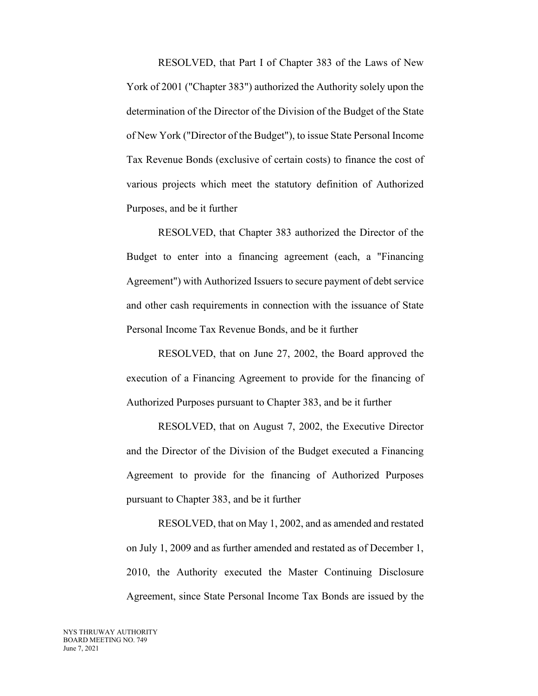RESOLVED, that Part I of Chapter 383 of the Laws of New York of 2001 ("Chapter 383") authorized the Authority solely upon the determination of the Director of the Division of the Budget of the State of New York ("Director of the Budget"), to issue State Personal Income Tax Revenue Bonds (exclusive of certain costs) to finance the cost of various projects which meet the statutory definition of Authorized Purposes, and be it further

RESOLVED, that Chapter 383 authorized the Director of the Budget to enter into a financing agreement (each, a "Financing Agreement") with Authorized Issuers to secure payment of debt service and other cash requirements in connection with the issuance of State Personal Income Tax Revenue Bonds, and be it further

RESOLVED, that on June 27, 2002, the Board approved the execution of a Financing Agreement to provide for the financing of Authorized Purposes pursuant to Chapter 383, and be it further

RESOLVED, that on August 7, 2002, the Executive Director and the Director of the Division of the Budget executed a Financing Agreement to provide for the financing of Authorized Purposes pursuant to Chapter 383, and be it further

RESOLVED, that on May 1, 2002, and as amended and restated on July 1, 2009 and as further amended and restated as of December 1, 2010, the Authority executed the Master Continuing Disclosure Agreement, since State Personal Income Tax Bonds are issued by the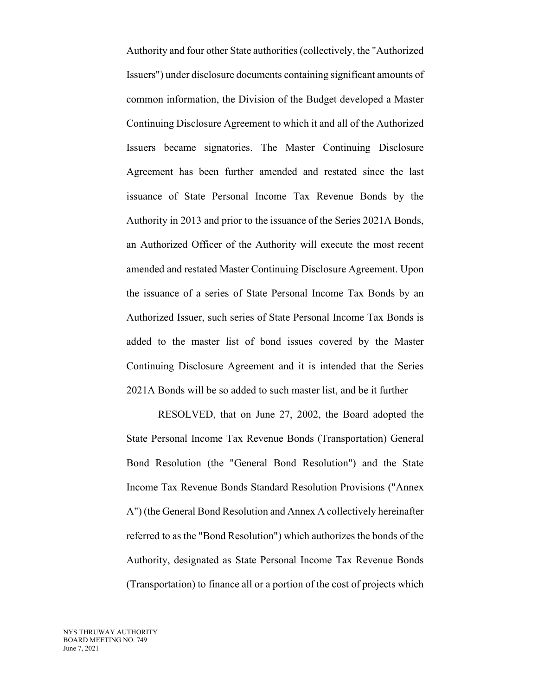Authority and four other State authorities(collectively, the "Authorized Issuers") under disclosure documents containing significant amounts of common information, the Division of the Budget developed a Master Continuing Disclosure Agreement to which it and all of the Authorized Issuers became signatories. The Master Continuing Disclosure Agreement has been further amended and restated since the last issuance of State Personal Income Tax Revenue Bonds by the Authority in 2013 and prior to the issuance of the Series 2021A Bonds, an Authorized Officer of the Authority will execute the most recent amended and restated Master Continuing Disclosure Agreement. Upon the issuance of a series of State Personal Income Tax Bonds by an Authorized Issuer, such series of State Personal Income Tax Bonds is added to the master list of bond issues covered by the Master Continuing Disclosure Agreement and it is intended that the Series 2021A Bonds will be so added to such master list, and be it further

RESOLVED, that on June 27, 2002, the Board adopted the State Personal Income Tax Revenue Bonds (Transportation) General Bond Resolution (the "General Bond Resolution") and the State Income Tax Revenue Bonds Standard Resolution Provisions ("Annex A") (the General Bond Resolution and Annex A collectively hereinafter referred to as the "Bond Resolution") which authorizes the bonds of the Authority, designated as State Personal Income Tax Revenue Bonds (Transportation) to finance all or a portion of the cost of projects which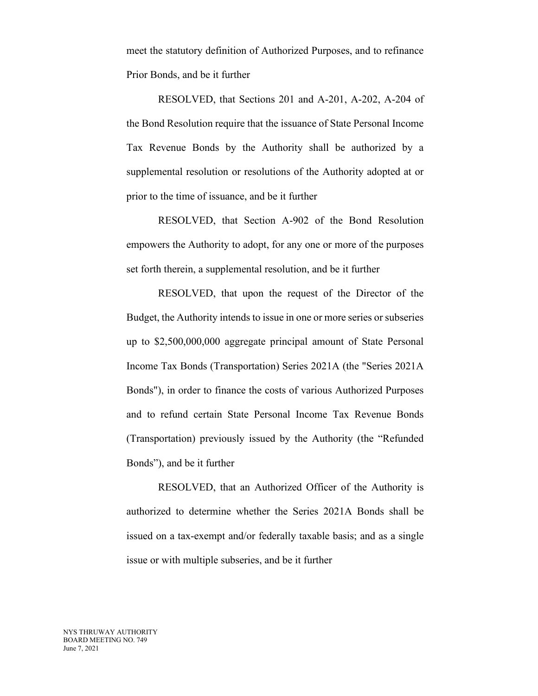meet the statutory definition of Authorized Purposes, and to refinance Prior Bonds, and be it further

RESOLVED, that Sections 201 and A-201, A-202, A-204 of the Bond Resolution require that the issuance of State Personal Income Tax Revenue Bonds by the Authority shall be authorized by a supplemental resolution or resolutions of the Authority adopted at or prior to the time of issuance, and be it further

RESOLVED, that Section A-902 of the Bond Resolution empowers the Authority to adopt, for any one or more of the purposes set forth therein, a supplemental resolution, and be it further

RESOLVED, that upon the request of the Director of the Budget, the Authority intends to issue in one or more series or subseries up to \$2,500,000,000 aggregate principal amount of State Personal Income Tax Bonds (Transportation) Series 2021A (the "Series 2021A Bonds"), in order to finance the costs of various Authorized Purposes and to refund certain State Personal Income Tax Revenue Bonds (Transportation) previously issued by the Authority (the "Refunded Bonds"), and be it further

RESOLVED, that an Authorized Officer of the Authority is authorized to determine whether the Series 2021A Bonds shall be issued on a tax-exempt and/or federally taxable basis; and as a single issue or with multiple subseries, and be it further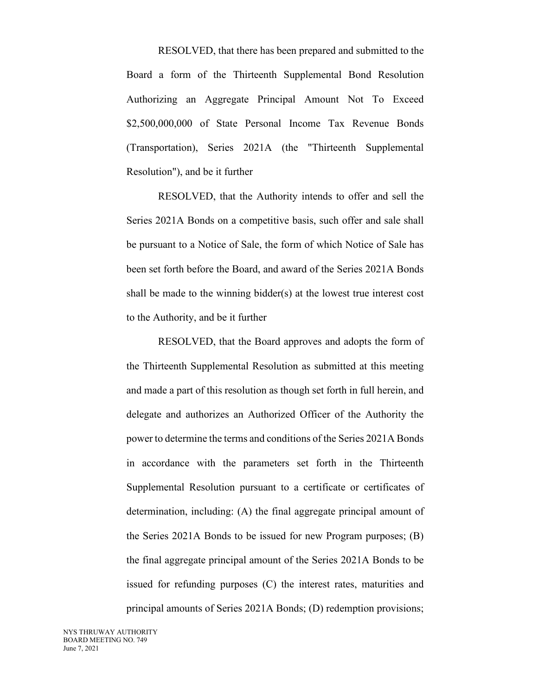RESOLVED, that there has been prepared and submitted to the Board a form of the Thirteenth Supplemental Bond Resolution Authorizing an Aggregate Principal Amount Not To Exceed \$2,500,000,000 of State Personal Income Tax Revenue Bonds (Transportation), Series 2021A (the "Thirteenth Supplemental Resolution"), and be it further

RESOLVED, that the Authority intends to offer and sell the Series 2021A Bonds on a competitive basis, such offer and sale shall be pursuant to a Notice of Sale, the form of which Notice of Sale has been set forth before the Board, and award of the Series 2021A Bonds shall be made to the winning bidder(s) at the lowest true interest cost to the Authority, and be it further

RESOLVED, that the Board approves and adopts the form of the Thirteenth Supplemental Resolution as submitted at this meeting and made a part of this resolution as though set forth in full herein, and delegate and authorizes an Authorized Officer of the Authority the power to determine the terms and conditions of the Series 2021A Bonds in accordance with the parameters set forth in the Thirteenth Supplemental Resolution pursuant to a certificate or certificates of determination, including: (A) the final aggregate principal amount of the Series 2021A Bonds to be issued for new Program purposes; (B) the final aggregate principal amount of the Series 2021A Bonds to be issued for refunding purposes (C) the interest rates, maturities and principal amounts of Series 2021A Bonds; (D) redemption provisions;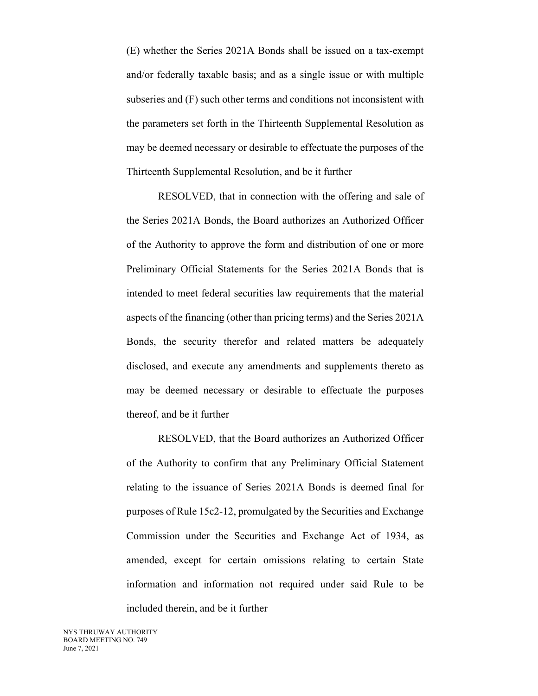(E) whether the Series 2021A Bonds shall be issued on a tax-exempt and/or federally taxable basis; and as a single issue or with multiple subseries and (F) such other terms and conditions not inconsistent with the parameters set forth in the Thirteenth Supplemental Resolution as may be deemed necessary or desirable to effectuate the purposes of the Thirteenth Supplemental Resolution, and be it further

RESOLVED, that in connection with the offering and sale of the Series 2021A Bonds, the Board authorizes an Authorized Officer of the Authority to approve the form and distribution of one or more Preliminary Official Statements for the Series 2021A Bonds that is intended to meet federal securities law requirements that the material aspects of the financing (other than pricing terms) and the Series 2021A Bonds, the security therefor and related matters be adequately disclosed, and execute any amendments and supplements thereto as may be deemed necessary or desirable to effectuate the purposes thereof, and be it further

RESOLVED, that the Board authorizes an Authorized Officer of the Authority to confirm that any Preliminary Official Statement relating to the issuance of Series 2021A Bonds is deemed final for purposes of Rule 15c2-12, promulgated by the Securities and Exchange Commission under the Securities and Exchange Act of 1934, as amended, except for certain omissions relating to certain State information and information not required under said Rule to be included therein, and be it further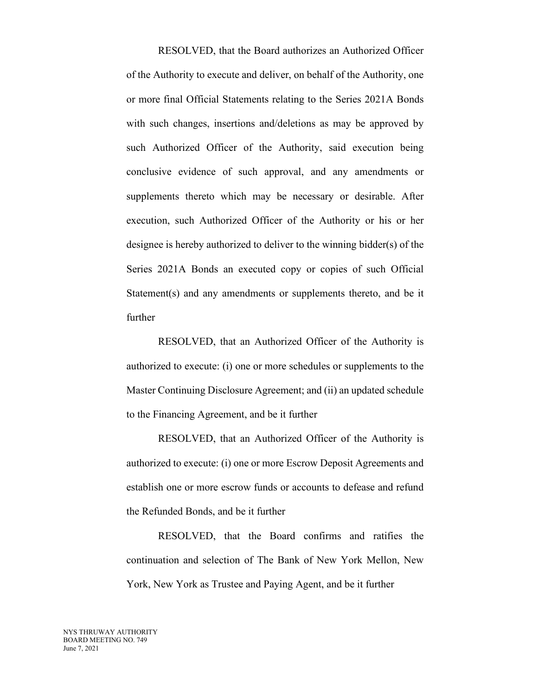RESOLVED, that the Board authorizes an Authorized Officer of the Authority to execute and deliver, on behalf of the Authority, one or more final Official Statements relating to the Series 2021A Bonds with such changes, insertions and/deletions as may be approved by such Authorized Officer of the Authority, said execution being conclusive evidence of such approval, and any amendments or supplements thereto which may be necessary or desirable. After execution, such Authorized Officer of the Authority or his or her designee is hereby authorized to deliver to the winning bidder(s) of the Series 2021A Bonds an executed copy or copies of such Official Statement(s) and any amendments or supplements thereto, and be it further

RESOLVED, that an Authorized Officer of the Authority is authorized to execute: (i) one or more schedules or supplements to the Master Continuing Disclosure Agreement; and (ii) an updated schedule to the Financing Agreement, and be it further

RESOLVED, that an Authorized Officer of the Authority is authorized to execute: (i) one or more Escrow Deposit Agreements and establish one or more escrow funds or accounts to defease and refund the Refunded Bonds, and be it further

RESOLVED, that the Board confirms and ratifies the continuation and selection of The Bank of New York Mellon, New York, New York as Trustee and Paying Agent, and be it further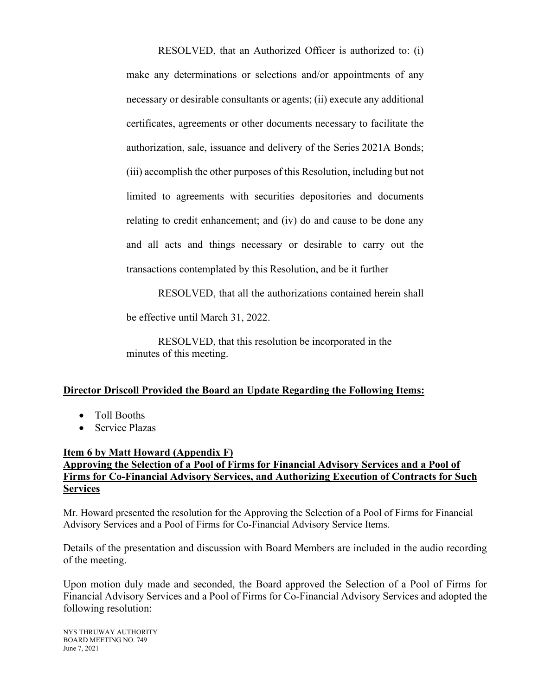RESOLVED, that an Authorized Officer is authorized to: (i) make any determinations or selections and/or appointments of any necessary or desirable consultants or agents; (ii) execute any additional certificates, agreements or other documents necessary to facilitate the authorization, sale, issuance and delivery of the Series 2021A Bonds; (iii) accomplish the other purposes of this Resolution, including but not limited to agreements with securities depositories and documents relating to credit enhancement; and (iv) do and cause to be done any and all acts and things necessary or desirable to carry out the transactions contemplated by this Resolution, and be it further

RESOLVED, that all the authorizations contained herein shall

be effective until March 31, 2022.

RESOLVED, that this resolution be incorporated in the minutes of this meeting.

### **Director Driscoll Provided the Board an Update Regarding the Following Items:**

- Toll Booths
- Service Plazas

### **Item 6 by Matt Howard (Appendix F)**

## **Approving the Selection of a Pool of Firms for Financial Advisory Services and a Pool of Firms for Co-Financial Advisory Services, and Authorizing Execution of Contracts for Such Services**

Mr. Howard presented the resolution for the Approving the Selection of a Pool of Firms for Financial Advisory Services and a Pool of Firms for Co-Financial Advisory Service Items.

Details of the presentation and discussion with Board Members are included in the audio recording of the meeting.

Upon motion duly made and seconded, the Board approved the Selection of a Pool of Firms for Financial Advisory Services and a Pool of Firms for Co-Financial Advisory Services and adopted the following resolution:

NYS THRUWAY AUTHORITY BOARD MEETING NO. 749 June 7, 2021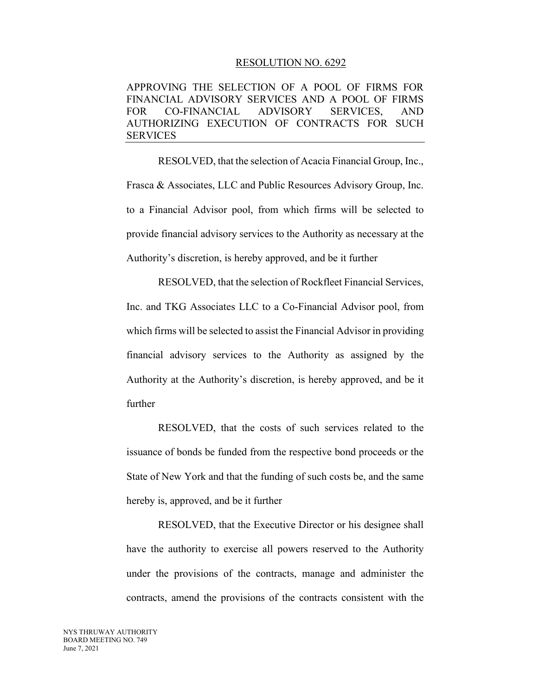#### RESOLUTION NO. 6292

APPROVING THE SELECTION OF A POOL OF FIRMS FOR FINANCIAL ADVISORY SERVICES AND A POOL OF FIRMS FOR CO-FINANCIAL ADVISORY SERVICES, AND AUTHORIZING EXECUTION OF CONTRACTS FOR SUCH SERVICES

RESOLVED, that the selection of Acacia Financial Group, Inc., Frasca & Associates, LLC and Public Resources Advisory Group, Inc. to a Financial Advisor pool, from which firms will be selected to provide financial advisory services to the Authority as necessary at the Authority's discretion, is hereby approved, and be it further

RESOLVED, that the selection of Rockfleet Financial Services, Inc. and TKG Associates LLC to a Co-Financial Advisor pool, from which firms will be selected to assist the Financial Advisor in providing financial advisory services to the Authority as assigned by the Authority at the Authority's discretion, is hereby approved, and be it further

RESOLVED, that the costs of such services related to the issuance of bonds be funded from the respective bond proceeds or the State of New York and that the funding of such costs be, and the same hereby is, approved, and be it further

RESOLVED, that the Executive Director or his designee shall have the authority to exercise all powers reserved to the Authority under the provisions of the contracts, manage and administer the contracts, amend the provisions of the contracts consistent with the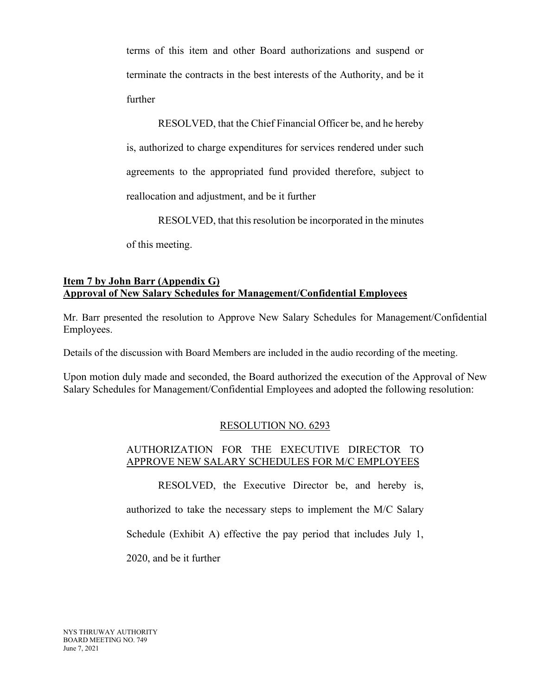terms of this item and other Board authorizations and suspend or terminate the contracts in the best interests of the Authority, and be it further

RESOLVED, that the Chief Financial Officer be, and he hereby is, authorized to charge expenditures for services rendered under such agreements to the appropriated fund provided therefore, subject to reallocation and adjustment, and be it further

RESOLVED, that this resolution be incorporated in the minutes

of this meeting.

## **Item 7 by John Barr (Appendix G) Approval of New Salary Schedules for Management/Confidential Employees**

Mr. Barr presented the resolution to Approve New Salary Schedules for Management/Confidential Employees.

Details of the discussion with Board Members are included in the audio recording of the meeting.

Upon motion duly made and seconded, the Board authorized the execution of the Approval of New Salary Schedules for Management/Confidential Employees and adopted the following resolution:

# RESOLUTION NO. 6293

## AUTHORIZATION FOR THE EXECUTIVE DIRECTOR TO APPROVE NEW SALARY SCHEDULES FOR M/C EMPLOYEES

RESOLVED, the Executive Director be, and hereby is, authorized to take the necessary steps to implement the M/C Salary Schedule (Exhibit A) effective the pay period that includes July 1, 2020, and be it further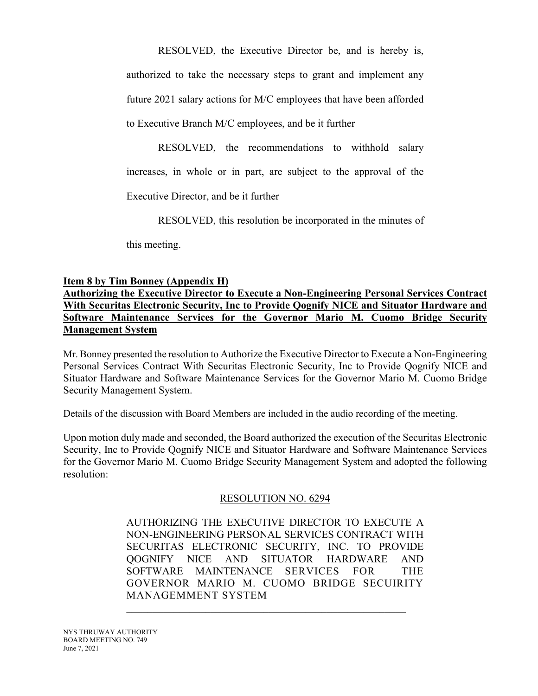RESOLVED, the Executive Director be, and is hereby is, authorized to take the necessary steps to grant and implement any future 2021 salary actions for M/C employees that have been afforded to Executive Branch M/C employees, and be it further

RESOLVED, the recommendations to withhold salary increases, in whole or in part, are subject to the approval of the

Executive Director, and be it further

RESOLVED, this resolution be incorporated in the minutes of

this meeting.

# **Item 8 by Tim Bonney (Appendix H)**

**Authorizing the Executive Director to Execute a Non-Engineering Personal Services Contract With Securitas Electronic Security, Inc to Provide Qognify NICE and Situator Hardware and Software Maintenance Services for the Governor Mario M. Cuomo Bridge Security Management System**

Mr. Bonney presented the resolution to Authorize the Executive Director to Execute a Non-Engineering Personal Services Contract With Securitas Electronic Security, Inc to Provide Qognify NICE and Situator Hardware and Software Maintenance Services for the Governor Mario M. Cuomo Bridge Security Management System.

Details of the discussion with Board Members are included in the audio recording of the meeting.

Upon motion duly made and seconded, the Board authorized the execution of the Securitas Electronic Security, Inc to Provide Qognify NICE and Situator Hardware and Software Maintenance Services for the Governor Mario M. Cuomo Bridge Security Management System and adopted the following resolution:

### RESOLUTION NO. 6294

AUTHORIZING THE EXECUTIVE DIRECTOR TO EXECUTE A NON-ENGINEERING PERSONAL SERVICES CONTRACT WITH SECURITAS ELECTRONIC SECURITY, INC. TO PROVIDE QOGNIFY NICE AND SITUATOR HARDWARE AND SOFTWARE MAINTENANCE SERVICES FOR THE GOVERNOR MARIO M. CUOMO BRIDGE SECUIRITY MANAGEMMENT SYSTEM

\_\_\_\_\_\_\_\_\_\_\_\_\_\_\_\_\_\_\_\_\_\_\_\_\_\_\_\_\_\_\_\_\_\_\_\_\_\_\_\_\_\_\_\_\_\_\_\_\_\_\_\_\_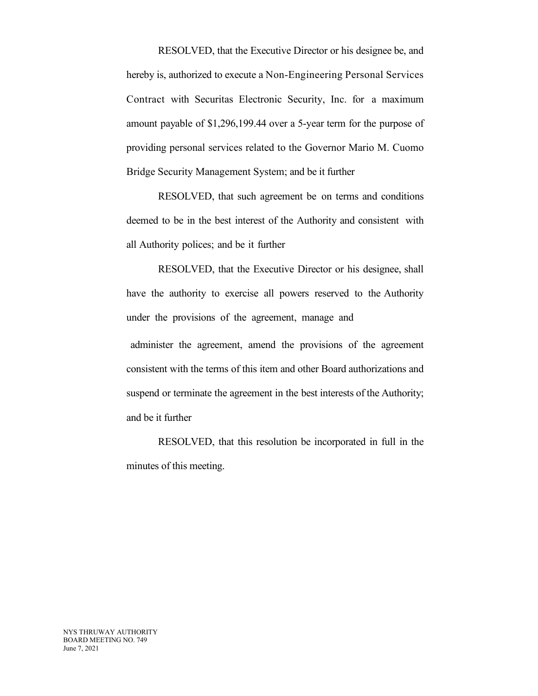RESOLVED, that the Executive Director or his designee be, and hereby is, authorized to execute a Non-Engineering Personal Services Contract with Securitas Electronic Security, Inc. for a maximum amount payable of \$1,296,199.44 over a 5-year term for the purpose of providing personal services related to the Governor Mario M. Cuomo Bridge Security Management System; and be it further

RESOLVED, that such agreement be on terms and conditions deemed to be in the best interest of the Authority and consistent with all Authority polices; and be it further

RESOLVED, that the Executive Director or his designee, shall have the authority to exercise all powers reserved to the Authority under the provisions of the agreement, manage and

administer the agreement, amend the provisions of the agreement consistent with the terms of this item and other Board authorizations and suspend or terminate the agreement in the best interests of the Authority; and be it further

RESOLVED, that this resolution be incorporated in full in the minutes of this meeting.

NYS THRUWAY AUTHORITY BOARD MEETING NO. 749 June 7, 2021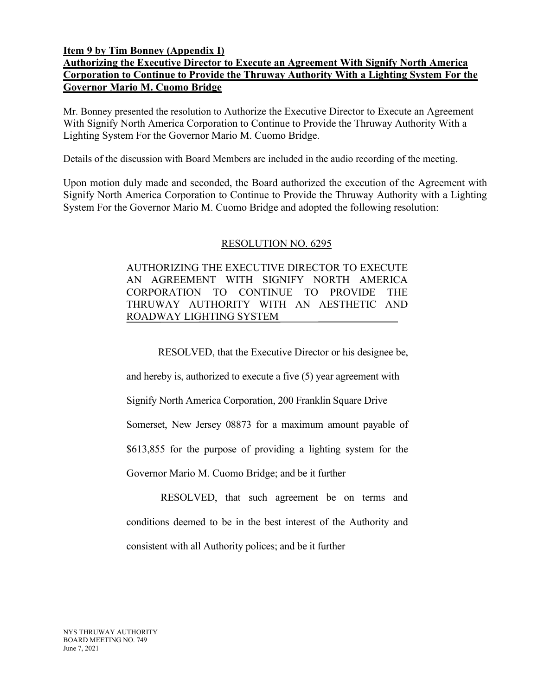#### **Item 9 by Tim Bonney (Appendix I)**

# **Authorizing the Executive Director to Execute an Agreement With Signify North America Corporation to Continue to Provide the Thruway Authority With a Lighting System For the Governor Mario M. Cuomo Bridge**

Mr. Bonney presented the resolution to Authorize the Executive Director to Execute an Agreement With Signify North America Corporation to Continue to Provide the Thruway Authority With a Lighting System For the Governor Mario M. Cuomo Bridge.

Details of the discussion with Board Members are included in the audio recording of the meeting.

Upon motion duly made and seconded, the Board authorized the execution of the Agreement with Signify North America Corporation to Continue to Provide the Thruway Authority with a Lighting System For the Governor Mario M. Cuomo Bridge and adopted the following resolution:

### RESOLUTION NO. 6295

AUTHORIZING THE EXECUTIVE DIRECTOR TO EXECUTE AN AGREEMENT WITH SIGNIFY NORTH AMERICA CORPORATION TO CONTINUE TO PROVIDE THE THRUWAY AUTHORITY WITH AN AESTHETIC AND ROADWAY LIGHTING SYSTEM

RESOLVED, that the Executive Director or his designee be,

and hereby is, authorized to execute a five (5) year agreement with

Signify North America Corporation, 200 Franklin Square Drive

Somerset, New Jersey 08873 for a maximum amount payable of

\$613,855 for the purpose of providing a lighting system for the

Governor Mario M. Cuomo Bridge; and be it further

RESOLVED, that such agreement be on terms and conditions deemed to be in the best interest of the Authority and consistent with all Authority polices; and be it further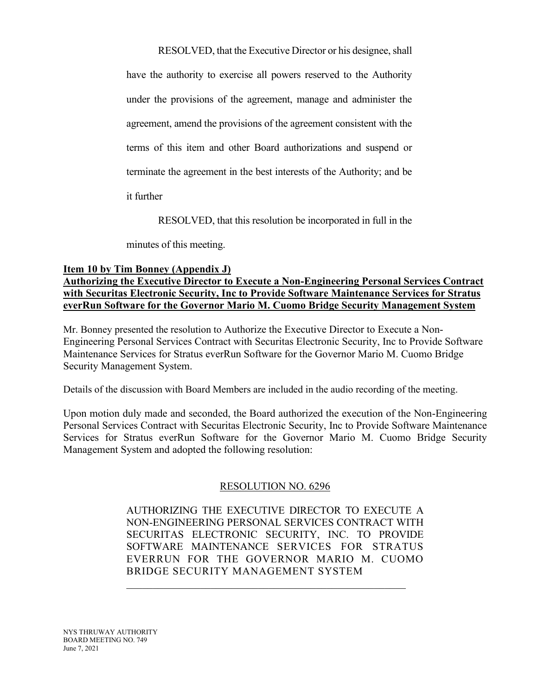RESOLVED, that the Executive Director or his designee, shall

have the authority to exercise all powers reserved to the Authority under the provisions of the agreement, manage and administer the agreement, amend the provisions of the agreement consistent with the terms of this item and other Board authorizations and suspend or terminate the agreement in the best interests of the Authority; and be

it further

RESOLVED, that this resolution be incorporated in full in the

minutes of this meeting.

## **Item 10 by Tim Bonney (Appendix J)**

**Authorizing the Executive Director to Execute a Non-Engineering Personal Services Contract with Securitas Electronic Security, Inc to Provide Software Maintenance Services for Stratus everRun Software for the Governor Mario M. Cuomo Bridge Security Management System**

Mr. Bonney presented the resolution to Authorize the Executive Director to Execute a Non-Engineering Personal Services Contract with Securitas Electronic Security, Inc to Provide Software Maintenance Services for Stratus everRun Software for the Governor Mario M. Cuomo Bridge Security Management System.

Details of the discussion with Board Members are included in the audio recording of the meeting.

Upon motion duly made and seconded, the Board authorized the execution of the Non-Engineering Personal Services Contract with Securitas Electronic Security, Inc to Provide Software Maintenance Services for Stratus everRun Software for the Governor Mario M. Cuomo Bridge Security Management System and adopted the following resolution:

# RESOLUTION NO. 6296

AUTHORIZING THE EXECUTIVE DIRECTOR TO EXECUTE A NON-ENGINEERING PERSONAL SERVICES CONTRACT WITH SECURITAS ELECTRONIC SECURITY, INC. TO PROVIDE SOFTWARE MAINTENANCE SERVICES FOR STRATUS EVERRUN FOR THE GOVERNOR MARIO M. CUOMO BRIDGE SECURITY MANAGEMENT SYSTEM

\_\_\_\_\_\_\_\_\_\_\_\_\_\_\_\_\_\_\_\_\_\_\_\_\_\_\_\_\_\_\_\_\_\_\_\_\_\_\_\_\_\_\_\_\_\_\_\_\_\_\_\_\_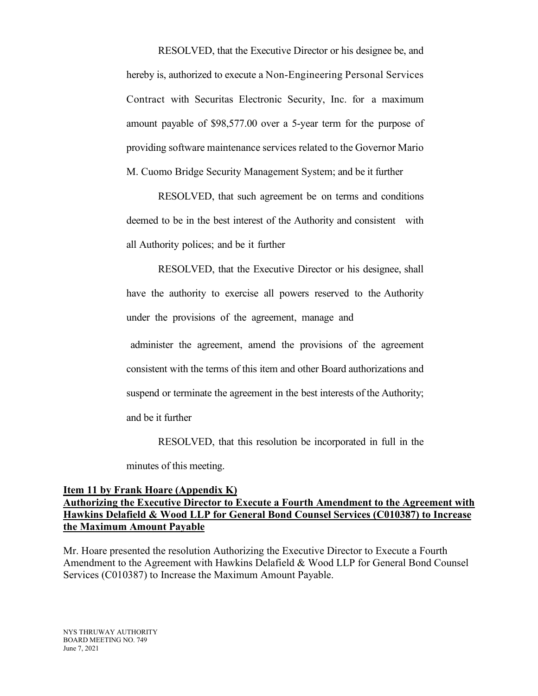RESOLVED, that the Executive Director or his designee be, and hereby is, authorized to execute a Non-Engineering Personal Services Contract with Securitas Electronic Security, Inc. for a maximum amount payable of \$98,577.00 over a 5-year term for the purpose of providing software maintenance services related to the Governor Mario M. Cuomo Bridge Security Management System; and be it further

RESOLVED, that such agreement be on terms and conditions deemed to be in the best interest of the Authority and consistent with all Authority polices; and be it further

RESOLVED, that the Executive Director or his designee, shall have the authority to exercise all powers reserved to the Authority under the provisions of the agreement, manage and

administer the agreement, amend the provisions of the agreement consistent with the terms of this item and other Board authorizations and suspend or terminate the agreement in the best interests of the Authority; and be it further

RESOLVED, that this resolution be incorporated in full in the

minutes of this meeting.

### **Item 11 by Frank Hoare (Appendix K) Authorizing the Executive Director to Execute a Fourth Amendment to the Agreement with Hawkins Delafield & Wood LLP for General Bond Counsel Services (C010387) to Increase the Maximum Amount Payable**

Mr. Hoare presented the resolution Authorizing the Executive Director to Execute a Fourth Amendment to the Agreement with Hawkins Delafield & Wood LLP for General Bond Counsel Services (C010387) to Increase the Maximum Amount Payable.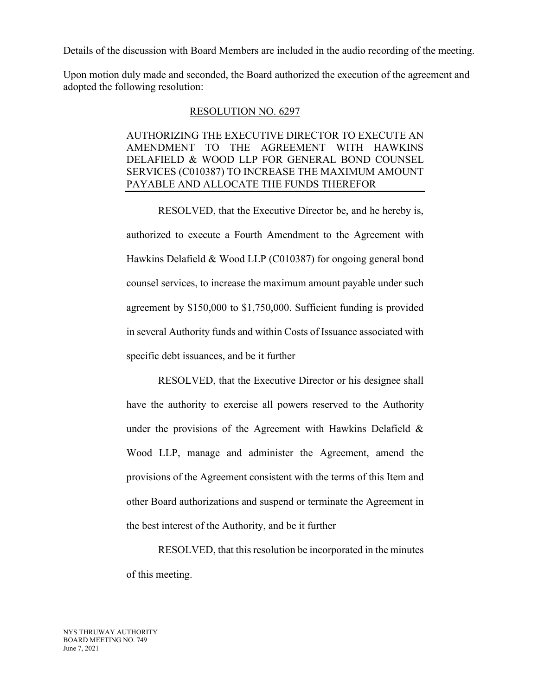Details of the discussion with Board Members are included in the audio recording of the meeting.

Upon motion duly made and seconded, the Board authorized the execution of the agreement and adopted the following resolution:

#### RESOLUTION NO. 6297

# AUTHORIZING THE EXECUTIVE DIRECTOR TO EXECUTE AN AMENDMENT TO THE AGREEMENT WITH HAWKINS DELAFIELD & WOOD LLP FOR GENERAL BOND COUNSEL SERVICES (C010387) TO INCREASE THE MAXIMUM AMOUNT PAYABLE AND ALLOCATE THE FUNDS THEREFOR

RESOLVED, that the Executive Director be, and he hereby is, authorized to execute a Fourth Amendment to the Agreement with Hawkins Delafield & Wood LLP (C010387) for ongoing general bond counsel services, to increase the maximum amount payable under such agreement by \$150,000 to \$1,750,000. Sufficient funding is provided in several Authority funds and within Costs of Issuance associated with specific debt issuances, and be it further

RESOLVED, that the Executive Director or his designee shall have the authority to exercise all powers reserved to the Authority under the provisions of the Agreement with Hawkins Delafield & Wood LLP, manage and administer the Agreement, amend the provisions of the Agreement consistent with the terms of this Item and other Board authorizations and suspend or terminate the Agreement in the best interest of the Authority, and be it further

RESOLVED, that this resolution be incorporated in the minutes of this meeting.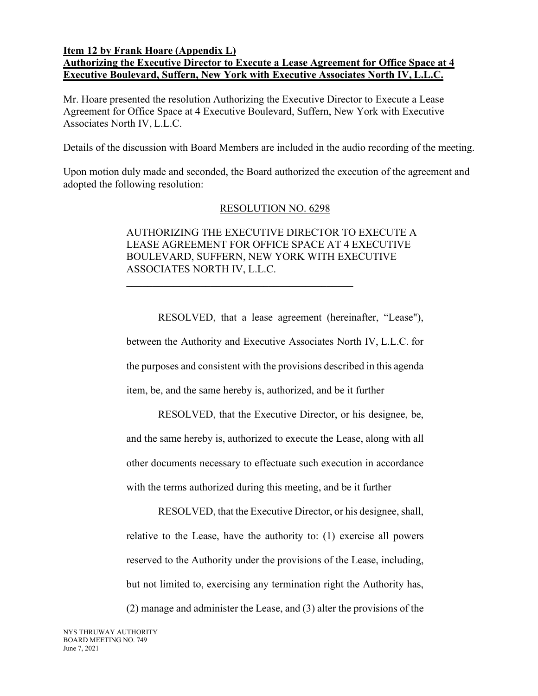#### **Item 12 by Frank Hoare (Appendix L)**

# **Authorizing the Executive Director to Execute a Lease Agreement for Office Space at 4 Executive Boulevard, Suffern, New York with Executive Associates North IV, L.L.C.**

Mr. Hoare presented the resolution Authorizing the Executive Director to Execute a Lease Agreement for Office Space at 4 Executive Boulevard, Suffern, New York with Executive Associates North IV, L.L.C.

Details of the discussion with Board Members are included in the audio recording of the meeting.

Upon motion duly made and seconded, the Board authorized the execution of the agreement and adopted the following resolution:

#### RESOLUTION NO. 6298

## AUTHORIZING THE EXECUTIVE DIRECTOR TO EXECUTE A LEASE AGREEMENT FOR OFFICE SPACE AT 4 EXECUTIVE BOULEVARD, SUFFERN, NEW YORK WITH EXECUTIVE ASSOCIATES NORTH IV, L.L.C.

RESOLVED, that a lease agreement (hereinafter, "Lease"), between the Authority and Executive Associates North IV, L.L.C. for the purposes and consistent with the provisions described in this agenda item, be, and the same hereby is, authorized, and be it further

RESOLVED, that the Executive Director, or his designee, be, and the same hereby is, authorized to execute the Lease, along with all other documents necessary to effectuate such execution in accordance with the terms authorized during this meeting, and be it further

RESOLVED, that the Executive Director, or his designee, shall, relative to the Lease, have the authority to: (1) exercise all powers reserved to the Authority under the provisions of the Lease, including, but not limited to, exercising any termination right the Authority has, (2) manage and administer the Lease, and (3) alter the provisions of the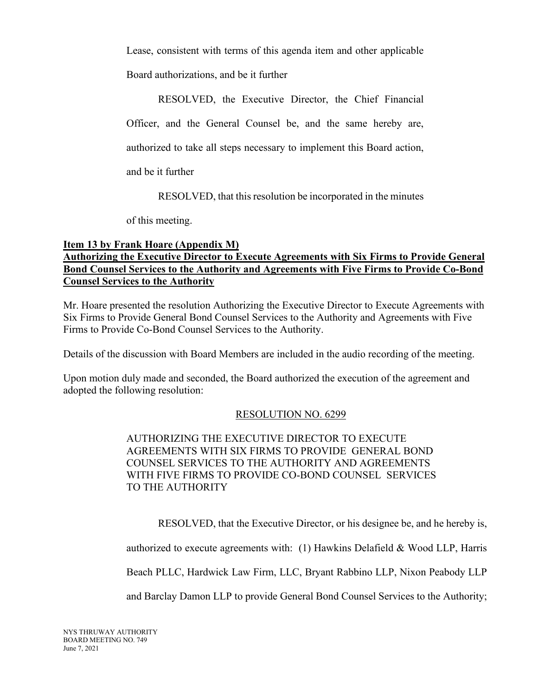Lease, consistent with terms of this agenda item and other applicable

Board authorizations, and be it further

RESOLVED, the Executive Director, the Chief Financial

Officer, and the General Counsel be, and the same hereby are,

authorized to take all steps necessary to implement this Board action,

and be it further

RESOLVED, that this resolution be incorporated in the minutes

of this meeting.

# **Item 13 by Frank Hoare (Appendix M) Authorizing the Executive Director to Execute Agreements with Six Firms to Provide General Bond Counsel Services to the Authority and Agreements with Five Firms to Provide Co-Bond Counsel Services to the Authority**

Mr. Hoare presented the resolution Authorizing the Executive Director to Execute Agreements with Six Firms to Provide General Bond Counsel Services to the Authority and Agreements with Five Firms to Provide Co-Bond Counsel Services to the Authority.

Details of the discussion with Board Members are included in the audio recording of the meeting.

Upon motion duly made and seconded, the Board authorized the execution of the agreement and adopted the following resolution:

# RESOLUTION NO. 6299

# AUTHORIZING THE EXECUTIVE DIRECTOR TO EXECUTE AGREEMENTS WITH SIX FIRMS TO PROVIDE GENERAL BOND COUNSEL SERVICES TO THE AUTHORITY AND AGREEMENTS WITH FIVE FIRMS TO PROVIDE CO-BOND COUNSEL SERVICES TO THE AUTHORITY

RESOLVED, that the Executive Director, or his designee be, and he hereby is,

authorized to execute agreements with: (1) Hawkins Delafield & Wood LLP, Harris

Beach PLLC, Hardwick Law Firm, LLC, Bryant Rabbino LLP, Nixon Peabody LLP

and Barclay Damon LLP to provide General Bond Counsel Services to the Authority;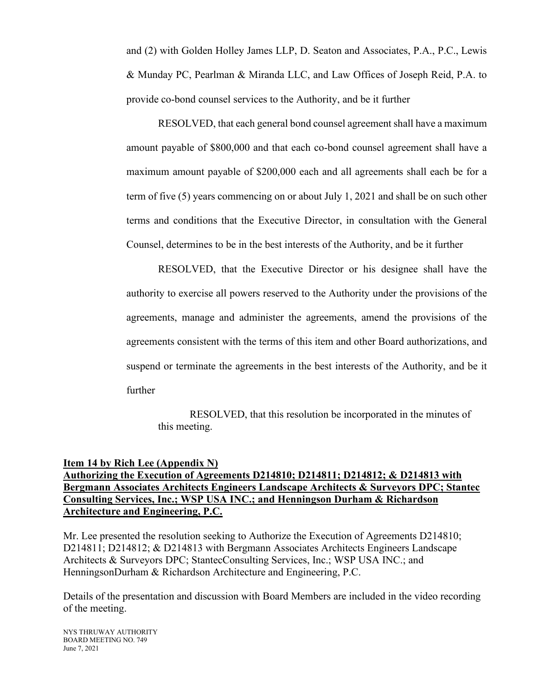and (2) with Golden Holley James LLP, D. Seaton and Associates, P.A., P.C., Lewis & Munday PC, Pearlman & Miranda LLC, and Law Offices of Joseph Reid, P.A. to provide co-bond counsel services to the Authority, and be it further

RESOLVED, that each general bond counsel agreement shall have a maximum amount payable of \$800,000 and that each co-bond counsel agreement shall have a maximum amount payable of \$200,000 each and all agreements shall each be for a term of five (5) years commencing on or about July 1, 2021 and shall be on such other terms and conditions that the Executive Director, in consultation with the General Counsel, determines to be in the best interests of the Authority, and be it further

RESOLVED, that the Executive Director or his designee shall have the authority to exercise all powers reserved to the Authority under the provisions of the agreements, manage and administer the agreements, amend the provisions of the agreements consistent with the terms of this item and other Board authorizations, and suspend or terminate the agreements in the best interests of the Authority, and be it further

RESOLVED, that this resolution be incorporated in the minutes of this meeting.

## **Item 14 by Rich Lee (Appendix N) Authorizing the Execution of Agreements D214810; D214811; D214812; & D214813 with Bergmann Associates Architects Engineers Landscape Architects & Surveyors DPC; Stantec Consulting Services, Inc.; WSP USA INC.; and Henningson Durham & Richardson Architecture and Engineering, P.C.**

Mr. Lee presented the resolution seeking to Authorize the Execution of Agreements D214810; D214811; D214812; & D214813 with Bergmann Associates Architects Engineers Landscape Architects & Surveyors DPC; StantecConsulting Services, Inc.; WSP USA INC.; and HenningsonDurham & Richardson Architecture and Engineering, P.C.

Details of the presentation and discussion with Board Members are included in the video recording of the meeting.

NYS THRUWAY AUTHORITY BOARD MEETING NO. 749 June 7, 2021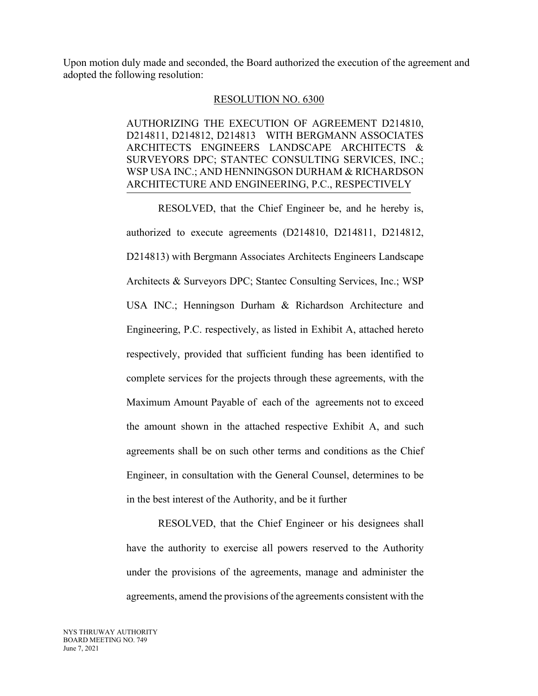Upon motion duly made and seconded, the Board authorized the execution of the agreement and adopted the following resolution:

#### RESOLUTION NO. 6300

AUTHORIZING THE EXECUTION OF AGREEMENT D214810, D214811, D214812, D214813 WITH BERGMANN ASSOCIATES ARCHITECTS ENGINEERS LANDSCAPE ARCHITECTS & SURVEYORS DPC; STANTEC CONSULTING SERVICES, INC.; WSP USA INC.; AND HENNINGSON DURHAM & RICHARDSON ARCHITECTURE AND ENGINEERING, P.C., RESPECTIVELY

RESOLVED, that the Chief Engineer be, and he hereby is, authorized to execute agreements (D214810, D214811, D214812, D214813) with Bergmann Associates Architects Engineers Landscape Architects & Surveyors DPC; Stantec Consulting Services, Inc.; WSP USA INC.; Henningson Durham & Richardson Architecture and Engineering, P.C. respectively, as listed in Exhibit A, attached hereto respectively, provided that sufficient funding has been identified to complete services for the projects through these agreements, with the Maximum Amount Payable of each of the agreements not to exceed the amount shown in the attached respective Exhibit A, and such agreements shall be on such other terms and conditions as the Chief Engineer, in consultation with the General Counsel, determines to be in the best interest of the Authority, and be it further

RESOLVED, that the Chief Engineer or his designees shall have the authority to exercise all powers reserved to the Authority under the provisions of the agreements, manage and administer the agreements, amend the provisions of the agreements consistent with the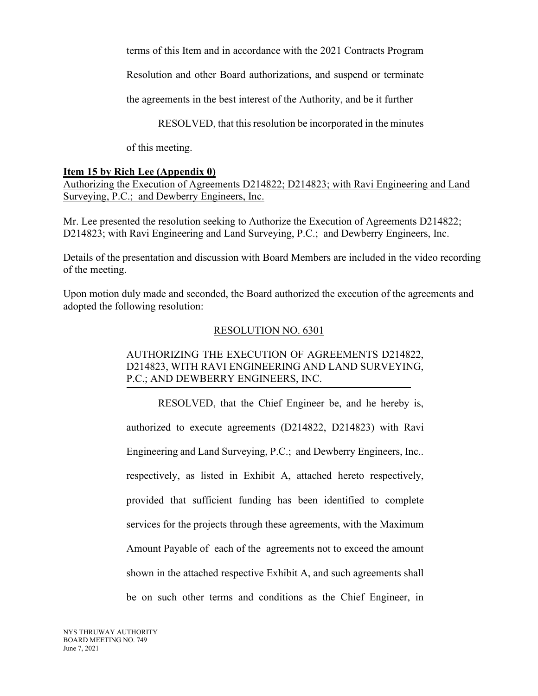terms of this Item and in accordance with the 2021 Contracts Program

Resolution and other Board authorizations, and suspend or terminate

the agreements in the best interest of the Authority, and be it further

RESOLVED, that this resolution be incorporated in the minutes

of this meeting.

## **Item 15 by Rich Lee (Appendix 0)**

Authorizing the Execution of Agreements D214822; D214823; with Ravi Engineering and Land Surveying, P.C.; and Dewberry Engineers, Inc.

Mr. Lee presented the resolution seeking to Authorize the Execution of Agreements D214822; D214823; with Ravi Engineering and Land Surveying, P.C.; and Dewberry Engineers, Inc.

Details of the presentation and discussion with Board Members are included in the video recording of the meeting.

Upon motion duly made and seconded, the Board authorized the execution of the agreements and adopted the following resolution:

## RESOLUTION NO. 6301

# AUTHORIZING THE EXECUTION OF AGREEMENTS D214822, D214823, WITH RAVI ENGINEERING AND LAND SURVEYING, P.C.; AND DEWBERRY ENGINEERS, INC.

RESOLVED, that the Chief Engineer be, and he hereby is, authorized to execute agreements (D214822, D214823) with Ravi Engineering and Land Surveying, P.C.; and Dewberry Engineers, Inc.. respectively, as listed in Exhibit A, attached hereto respectively, provided that sufficient funding has been identified to complete services for the projects through these agreements, with the Maximum Amount Payable of each of the agreements not to exceed the amount shown in the attached respective Exhibit A, and such agreements shall be on such other terms and conditions as the Chief Engineer, in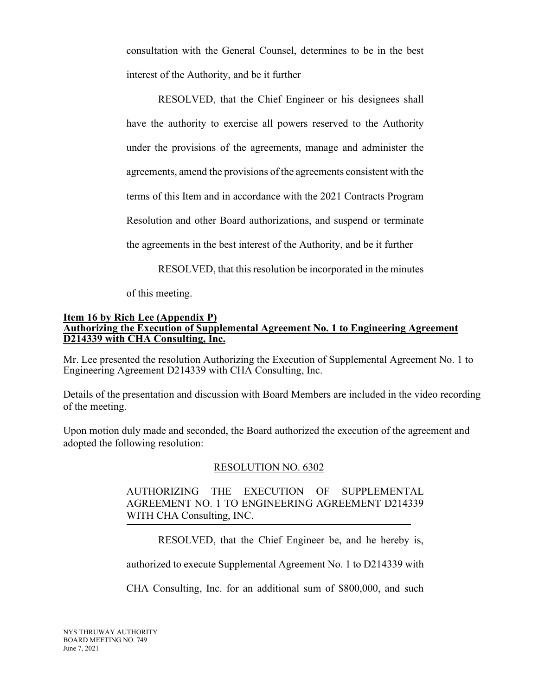consultation with the General Counsel, determines to be in the best interest of the Authority, and be it further

RESOLVED, that the Chief Engineer or his designees shall have the authority to exercise all powers reserved to the Authority under the provisions of the agreements, manage and administer the agreements, amend the provisions of the agreements consistent with the terms of this Item and in accordance with the 2021 Contracts Program Resolution and other Board authorizations, and suspend or terminate the agreements in the best interest of the Authority, and be it further

RESOLVED, that this resolution be incorporated in the minutes

of this meeting.

#### **Item 16 by Rich Lee (Appendix P) Authorizing the Execution of Supplemental Agreement No. 1 to Engineering Agreement D214339 with CHA Consulting, Inc.**

Mr. Lee presented the resolution Authorizing the Execution of Supplemental Agreement No. 1 to Engineering Agreement D214339 with CHA Consulting, Inc.

Details of the presentation and discussion with Board Members are included in the video recording of the meeting.

Upon motion duly made and seconded, the Board authorized the execution of the agreement and adopted the following resolution:

### RESOLUTION NO. 6302

## AUTHORIZING THE EXECUTION OF SUPPLEMENTAL AGREEMENT NO. 1 TO ENGINEERING AGREEMENT D214339 WITH CHA Consulting, INC.

RESOLVED, that the Chief Engineer be, and he hereby is,

authorized to execute Supplemental Agreement No. 1 to D214339 with

CHA Consulting, Inc. for an additional sum of \$800,000, and such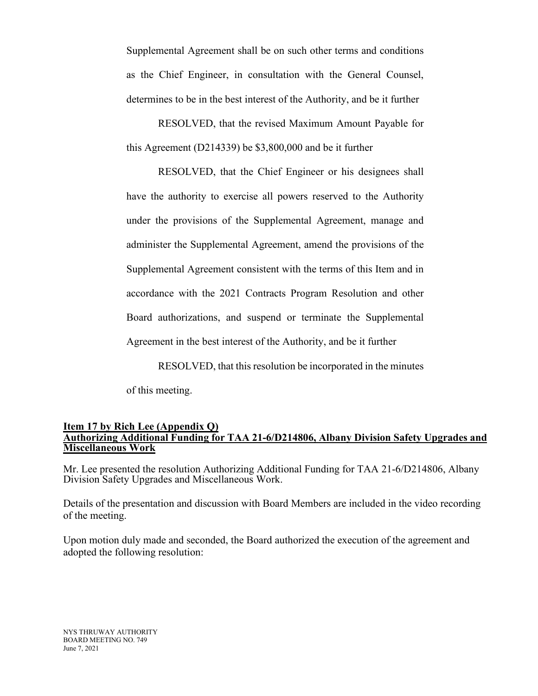Supplemental Agreement shall be on such other terms and conditions as the Chief Engineer, in consultation with the General Counsel, determines to be in the best interest of the Authority, and be it further

RESOLVED, that the revised Maximum Amount Payable for this Agreement (D214339) be \$3,800,000 and be it further

RESOLVED, that the Chief Engineer or his designees shall have the authority to exercise all powers reserved to the Authority under the provisions of the Supplemental Agreement, manage and administer the Supplemental Agreement, amend the provisions of the Supplemental Agreement consistent with the terms of this Item and in accordance with the 2021 Contracts Program Resolution and other Board authorizations, and suspend or terminate the Supplemental Agreement in the best interest of the Authority, and be it further

RESOLVED, that this resolution be incorporated in the minutes

of this meeting.

#### **Item 17 by Rich Lee (Appendix Q) Authorizing Additional Funding for TAA 21-6/D214806, Albany Division Safety Upgrades and Miscellaneous Work**

Mr. Lee presented the resolution Authorizing Additional Funding for TAA 21-6/D214806, Albany Division Safety Upgrades and Miscellaneous Work.

Details of the presentation and discussion with Board Members are included in the video recording of the meeting.

Upon motion duly made and seconded, the Board authorized the execution of the agreement and adopted the following resolution: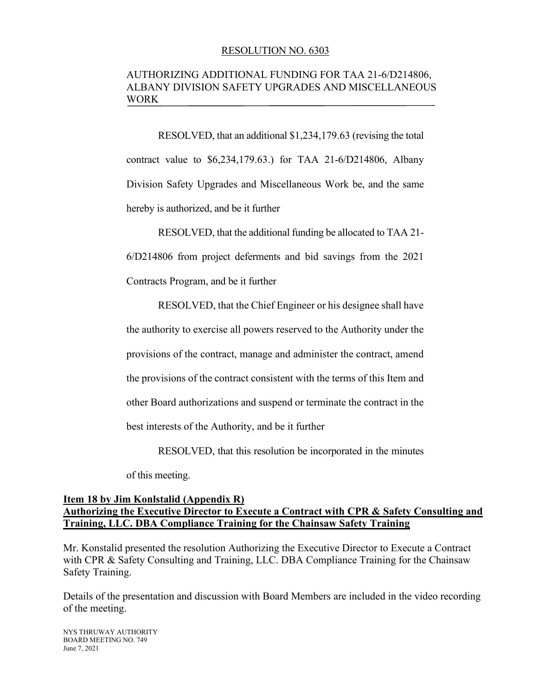#### RESOLUTION NO. 6303

## AUTHORIZING ADDITIONAL FUNDING FOR TAA 21-6/D214806, ALBANY DIVISION SAFETY UPGRADES AND MISCELLANEOUS WORK

RESOLVED, that an additional \$1,234,179.63 (revising the total contract value to \$6,234,179.63.) for TAA 21-6/D214806, Albany Division Safety Upgrades and Miscellaneous Work be, and the same hereby is authorized, and be it further

RESOLVED, that the additional funding be allocated to TAA 21- 6/D214806 from project deferments and bid savings from the 2021 Contracts Program, and be it further

RESOLVED, that the Chief Engineer or his designee shall have the authority to exercise all powers reserved to the Authority under the provisions of the contract, manage and administer the contract, amend the provisions of the contract consistent with the terms of this Item and other Board authorizations and suspend or terminate the contract in the best interests of the Authority, and be it further

RESOLVED, that this resolution be incorporated in the minutes

of this meeting.

#### **Item 18 by Jim Konlstalid (Appendix R) Authorizing the Executive Director to Execute a Contract with CPR & Safety Consulting and Training, LLC. DBA Compliance Training for the Chainsaw Safety Training**

Mr. Konstalid presented the resolution Authorizing the Executive Director to Execute a Contract with CPR & Safety Consulting and Training, LLC. DBA Compliance Training for the Chainsaw Safety Training.

Details of the presentation and discussion with Board Members are included in the video recording of the meeting.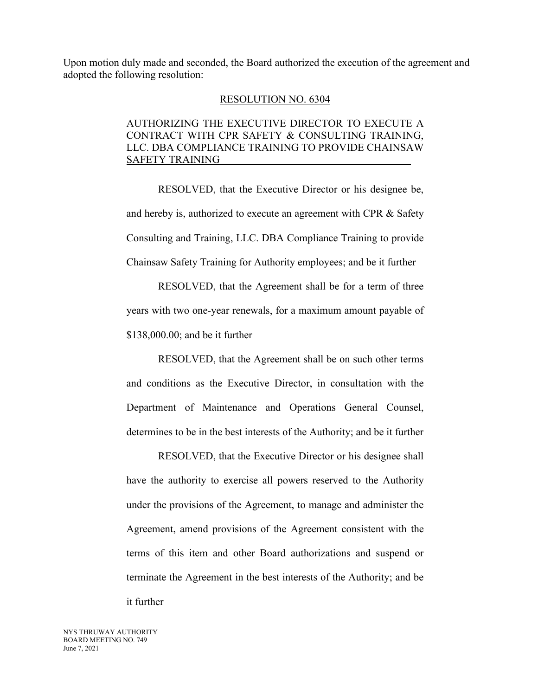Upon motion duly made and seconded, the Board authorized the execution of the agreement and adopted the following resolution:

#### RESOLUTION NO. 6304

## AUTHORIZING THE EXECUTIVE DIRECTOR TO EXECUTE A CONTRACT WITH CPR SAFETY & CONSULTING TRAINING, LLC. DBA COMPLIANCE TRAINING TO PROVIDE CHAINSAW SAFETY TRAINING

RESOLVED, that the Executive Director or his designee be, and hereby is, authorized to execute an agreement with CPR & Safety Consulting and Training, LLC. DBA Compliance Training to provide Chainsaw Safety Training for Authority employees; and be it further

RESOLVED, that the Agreement shall be for a term of three years with two one-year renewals, for a maximum amount payable of \$138,000.00; and be it further

RESOLVED, that the Agreement shall be on such other terms and conditions as the Executive Director, in consultation with the Department of Maintenance and Operations General Counsel, determines to be in the best interests of the Authority; and be it further

RESOLVED, that the Executive Director or his designee shall have the authority to exercise all powers reserved to the Authority under the provisions of the Agreement, to manage and administer the Agreement, amend provisions of the Agreement consistent with the terms of this item and other Board authorizations and suspend or terminate the Agreement in the best interests of the Authority; and be it further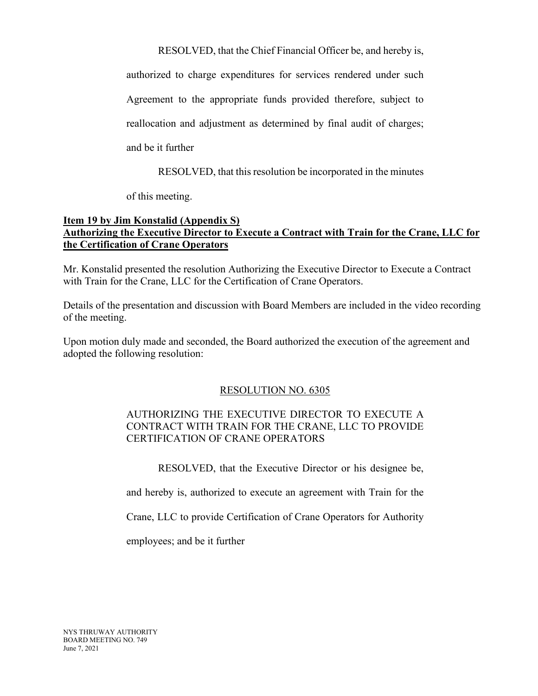RESOLVED, that the Chief Financial Officer be, and hereby is,

authorized to charge expenditures for services rendered under such Agreement to the appropriate funds provided therefore, subject to reallocation and adjustment as determined by final audit of charges; and be it further

RESOLVED, that this resolution be incorporated in the minutes

of this meeting.

### **Item 19 by Jim Konstalid (Appendix S) Authorizing the Executive Director to Execute a Contract with Train for the Crane, LLC for the Certification of Crane Operators**

Mr. Konstalid presented the resolution Authorizing the Executive Director to Execute a Contract with Train for the Crane, LLC for the Certification of Crane Operators.

Details of the presentation and discussion with Board Members are included in the video recording of the meeting.

Upon motion duly made and seconded, the Board authorized the execution of the agreement and adopted the following resolution:

# RESOLUTION NO. 6305

# AUTHORIZING THE EXECUTIVE DIRECTOR TO EXECUTE A CONTRACT WITH TRAIN FOR THE CRANE, LLC TO PROVIDE CERTIFICATION OF CRANE OPERATORS

RESOLVED, that the Executive Director or his designee be,

and hereby is, authorized to execute an agreement with Train for the

Crane, LLC to provide Certification of Crane Operators for Authority

employees; and be it further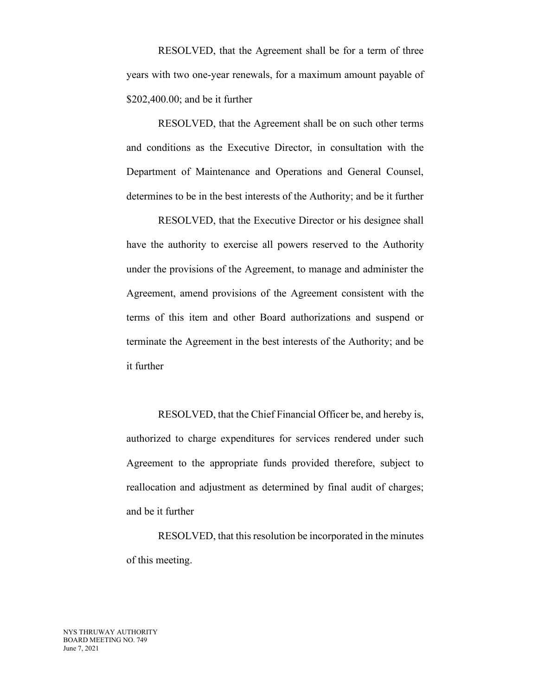RESOLVED, that the Agreement shall be for a term of three years with two one-year renewals, for a maximum amount payable of \$202,400.00; and be it further

RESOLVED, that the Agreement shall be on such other terms and conditions as the Executive Director, in consultation with the Department of Maintenance and Operations and General Counsel, determines to be in the best interests of the Authority; and be it further

RESOLVED, that the Executive Director or his designee shall have the authority to exercise all powers reserved to the Authority under the provisions of the Agreement, to manage and administer the Agreement, amend provisions of the Agreement consistent with the terms of this item and other Board authorizations and suspend or terminate the Agreement in the best interests of the Authority; and be it further

RESOLVED, that the Chief Financial Officer be, and hereby is, authorized to charge expenditures for services rendered under such Agreement to the appropriate funds provided therefore, subject to reallocation and adjustment as determined by final audit of charges; and be it further

RESOLVED, that this resolution be incorporated in the minutes of this meeting.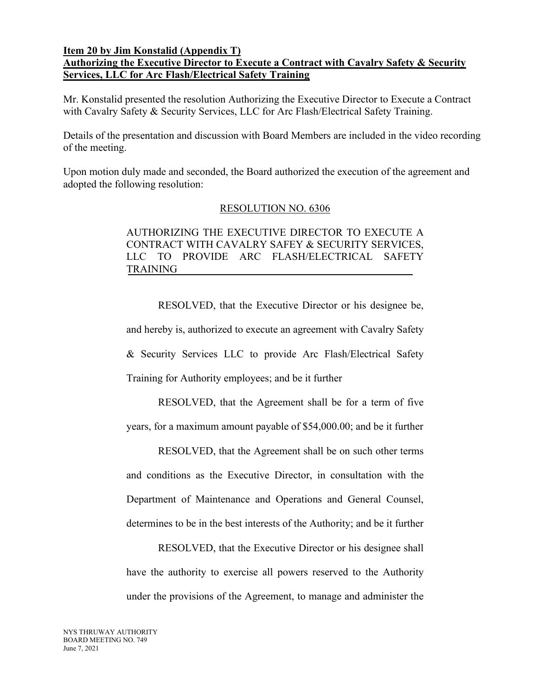#### **Item 20 by Jim Konstalid (Appendix T)**

# **Authorizing the Executive Director to Execute a Contract with Cavalry Safety & Security Services, LLC for Arc Flash/Electrical Safety Training**

Mr. Konstalid presented the resolution Authorizing the Executive Director to Execute a Contract with Cavalry Safety & Security Services, LLC for Arc Flash/Electrical Safety Training.

Details of the presentation and discussion with Board Members are included in the video recording of the meeting.

Upon motion duly made and seconded, the Board authorized the execution of the agreement and adopted the following resolution:

#### RESOLUTION NO. 6306

## AUTHORIZING THE EXECUTIVE DIRECTOR TO EXECUTE A CONTRACT WITH CAVALRY SAFEY & SECURITY SERVICES, LLC TO PROVIDE ARC FLASH/ELECTRICAL SAFETY TRAINING

RESOLVED, that the Executive Director or his designee be, and hereby is, authorized to execute an agreement with Cavalry Safety & Security Services LLC to provide Arc Flash/Electrical Safety Training for Authority employees; and be it further

RESOLVED, that the Agreement shall be for a term of five years, for a maximum amount payable of \$54,000.00; and be it further

RESOLVED, that the Agreement shall be on such other terms and conditions as the Executive Director, in consultation with the Department of Maintenance and Operations and General Counsel, determines to be in the best interests of the Authority; and be it further

RESOLVED, that the Executive Director or his designee shall have the authority to exercise all powers reserved to the Authority under the provisions of the Agreement, to manage and administer the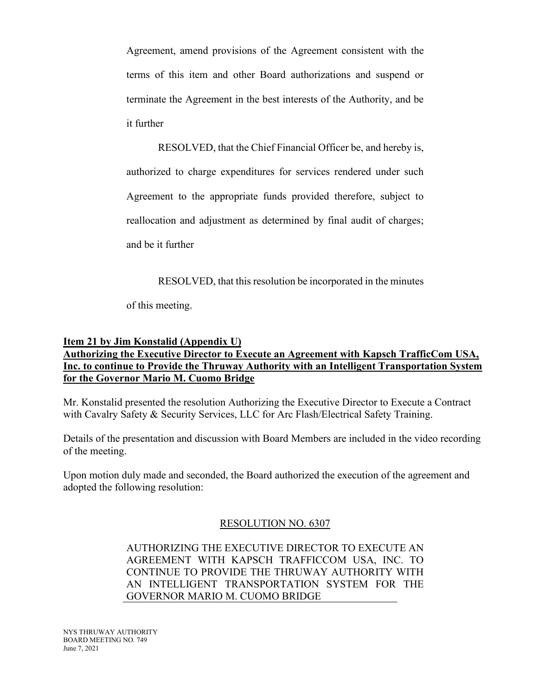Agreement, amend provisions of the Agreement consistent with the terms of this item and other Board authorizations and suspend or terminate the Agreement in the best interests of the Authority, and be it further

RESOLVED, that the Chief Financial Officer be, and hereby is, authorized to charge expenditures for services rendered under such Agreement to the appropriate funds provided therefore, subject to reallocation and adjustment as determined by final audit of charges; and be it further

RESOLVED, that this resolution be incorporated in the minutes

of this meeting.

#### **Item 21 by Jim Konstalid (Appendix U)**

# **Authorizing the Executive Director to Execute an Agreement with Kapsch TrafficCom USA, Inc. to continue to Provide the Thruway Authority with an Intelligent Transportation System for the Governor Mario M. Cuomo Bridge**

Mr. Konstalid presented the resolution Authorizing the Executive Director to Execute a Contract with Cavalry Safety & Security Services, LLC for Arc Flash/Electrical Safety Training.

Details of the presentation and discussion with Board Members are included in the video recording of the meeting.

Upon motion duly made and seconded, the Board authorized the execution of the agreement and adopted the following resolution:

### RESOLUTION NO. 6307

AUTHORIZING THE EXECUTIVE DIRECTOR TO EXECUTE AN AGREEMENT WITH KAPSCH TRAFFICCOM USA, INC. TO CONTINUE TO PROVIDE THE THRUWAY AUTHORITY WITH AN INTELLIGENT TRANSPORTATION SYSTEM FOR THE GOVERNOR MARIO M. CUOMO BRIDGE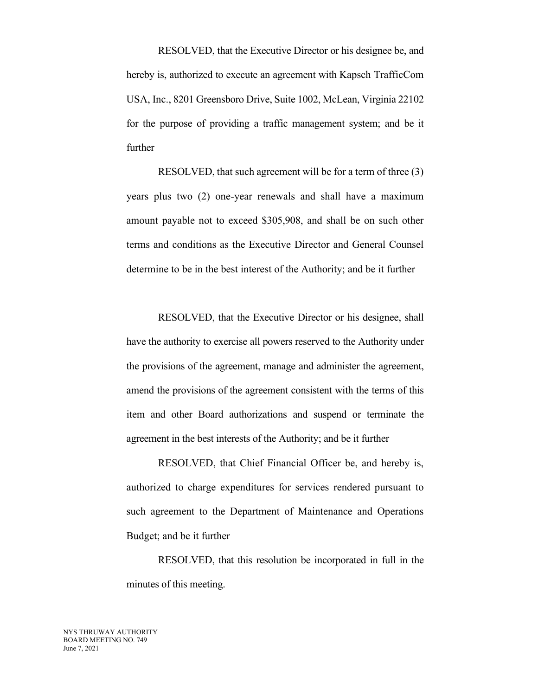RESOLVED, that the Executive Director or his designee be, and hereby is, authorized to execute an agreement with Kapsch TrafficCom USA, Inc., 8201 Greensboro Drive, Suite 1002, McLean, Virginia 22102 for the purpose of providing a traffic management system; and be it further

RESOLVED, that such agreement will be for a term of three (3) years plus two (2) one-year renewals and shall have a maximum amount payable not to exceed \$305,908, and shall be on such other terms and conditions as the Executive Director and General Counsel determine to be in the best interest of the Authority; and be it further

RESOLVED, that the Executive Director or his designee, shall have the authority to exercise all powers reserved to the Authority under the provisions of the agreement, manage and administer the agreement, amend the provisions of the agreement consistent with the terms of this item and other Board authorizations and suspend or terminate the agreement in the best interests of the Authority; and be it further

RESOLVED, that Chief Financial Officer be, and hereby is, authorized to charge expenditures for services rendered pursuant to such agreement to the Department of Maintenance and Operations Budget; and be it further

RESOLVED, that this resolution be incorporated in full in the minutes of this meeting.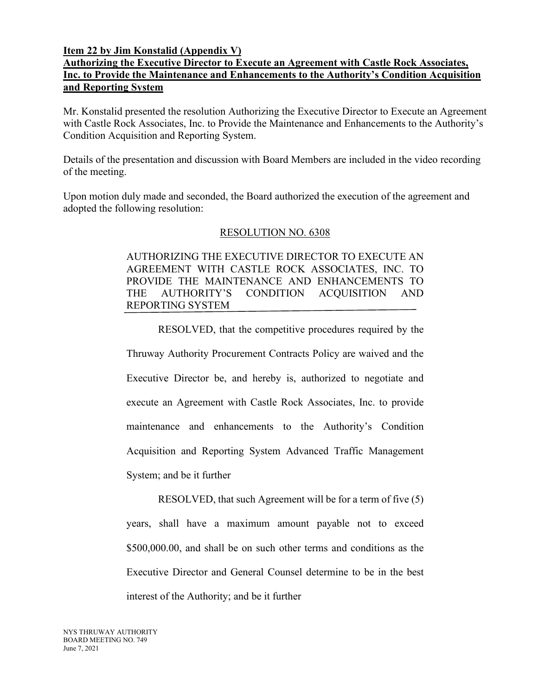### **Item 22 by Jim Konstalid (Appendix V)**

# **Authorizing the Executive Director to Execute an Agreement with Castle Rock Associates, Inc. to Provide the Maintenance and Enhancements to the Authority's Condition Acquisition and Reporting System**

Mr. Konstalid presented the resolution Authorizing the Executive Director to Execute an Agreement with Castle Rock Associates, Inc. to Provide the Maintenance and Enhancements to the Authority's Condition Acquisition and Reporting System.

Details of the presentation and discussion with Board Members are included in the video recording of the meeting.

Upon motion duly made and seconded, the Board authorized the execution of the agreement and adopted the following resolution:

### RESOLUTION NO. 6308

AUTHORIZING THE EXECUTIVE DIRECTOR TO EXECUTE AN AGREEMENT WITH CASTLE ROCK ASSOCIATES, INC. TO PROVIDE THE MAINTENANCE AND ENHANCEMENTS TO THE AUTHORITY'S CONDITION ACQUISITION AND REPORTING SYSTEM

RESOLVED, that the competitive procedures required by the Thruway Authority Procurement Contracts Policy are waived and the Executive Director be, and hereby is, authorized to negotiate and execute an Agreement with Castle Rock Associates, Inc. to provide maintenance and enhancements to the Authority's Condition Acquisition and Reporting System Advanced Traffic Management System; and be it further

RESOLVED, that such Agreement will be for a term of five (5) years, shall have a maximum amount payable not to exceed \$500,000.00, and shall be on such other terms and conditions as the Executive Director and General Counsel determine to be in the best interest of the Authority; and be it further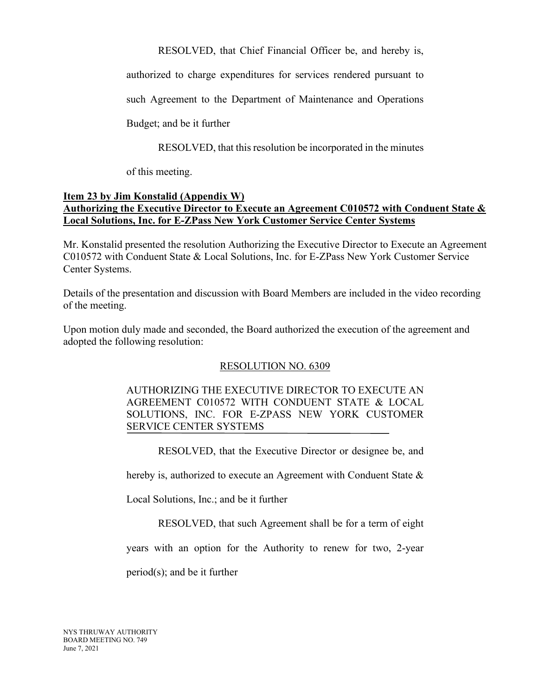RESOLVED, that Chief Financial Officer be, and hereby is,

authorized to charge expenditures for services rendered pursuant to

such Agreement to the Department of Maintenance and Operations

Budget; and be it further

RESOLVED, that this resolution be incorporated in the minutes

of this meeting.

### **Item 23 by Jim Konstalid (Appendix W) Authorizing the Executive Director to Execute an Agreement C010572 with Conduent State & Local Solutions, Inc. for E-ZPass New York Customer Service Center Systems**

Mr. Konstalid presented the resolution Authorizing the Executive Director to Execute an Agreement C010572 with Conduent State & Local Solutions, Inc. for E-ZPass New York Customer Service Center Systems.

Details of the presentation and discussion with Board Members are included in the video recording of the meeting.

Upon motion duly made and seconded, the Board authorized the execution of the agreement and adopted the following resolution:

# RESOLUTION NO. 6309

# AUTHORIZING THE EXECUTIVE DIRECTOR TO EXECUTE AN AGREEMENT C010572 WITH CONDUENT STATE & LOCAL SOLUTIONS, INC. FOR E-ZPASS NEW YORK CUSTOMER SERVICE CENTER SYSTEMS

RESOLVED, that the Executive Director or designee be, and

hereby is, authorized to execute an Agreement with Conduent State &

Local Solutions, Inc.; and be it further

RESOLVED, that such Agreement shall be for a term of eight

years with an option for the Authority to renew for two, 2-year

period(s); and be it further

NYS THRUWAY AUTHORITY BOARD MEETING NO. 749 June 7, 2021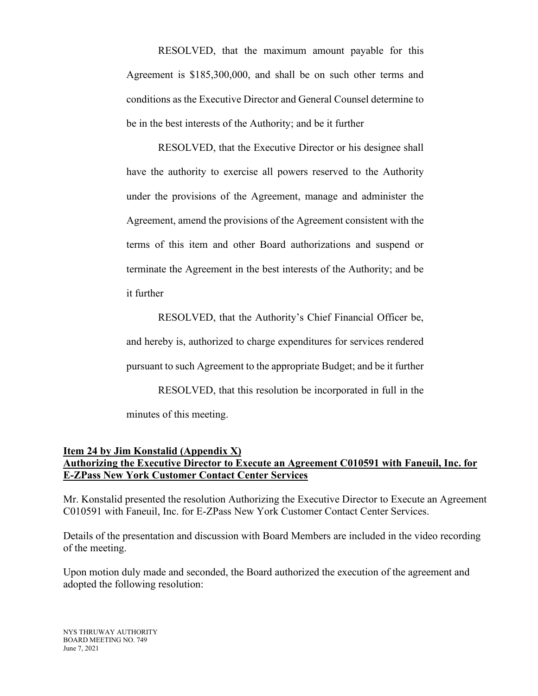RESOLVED, that the maximum amount payable for this Agreement is \$185,300,000, and shall be on such other terms and conditions as the Executive Director and General Counsel determine to be in the best interests of the Authority; and be it further

RESOLVED, that the Executive Director or his designee shall have the authority to exercise all powers reserved to the Authority under the provisions of the Agreement, manage and administer the Agreement, amend the provisions of the Agreement consistent with the terms of this item and other Board authorizations and suspend or terminate the Agreement in the best interests of the Authority; and be it further

RESOLVED, that the Authority's Chief Financial Officer be, and hereby is, authorized to charge expenditures for services rendered pursuant to such Agreement to the appropriate Budget; and be it further RESOLVED, that this resolution be incorporated in full in the

minutes of this meeting.

#### **Item 24 by Jim Konstalid (Appendix X) Authorizing the Executive Director to Execute an Agreement C010591 with Faneuil, Inc. for E-ZPass New York Customer Contact Center Services**

Mr. Konstalid presented the resolution Authorizing the Executive Director to Execute an Agreement C010591 with Faneuil, Inc. for E-ZPass New York Customer Contact Center Services.

Details of the presentation and discussion with Board Members are included in the video recording of the meeting.

Upon motion duly made and seconded, the Board authorized the execution of the agreement and adopted the following resolution: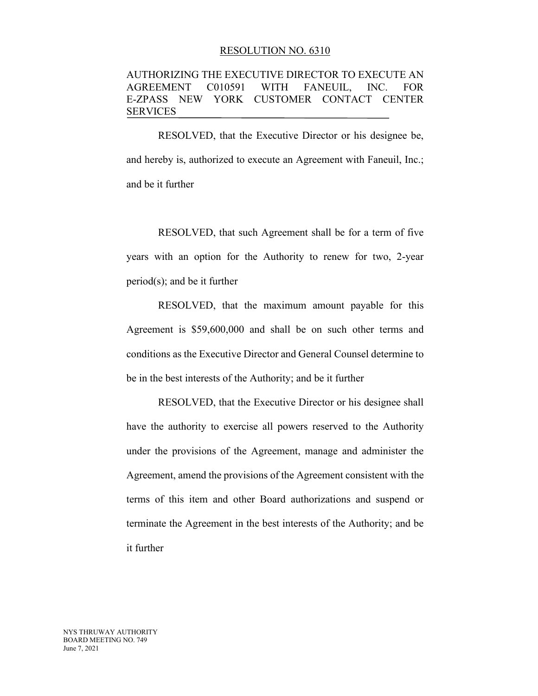#### RESOLUTION NO. 6310

### AUTHORIZING THE EXECUTIVE DIRECTOR TO EXECUTE AN AGREEMENT C010591 WITH FANEUIL, INC. FOR E-ZPASS NEW YORK CUSTOMER CONTACT CENTER SERVICES

RESOLVED, that the Executive Director or his designee be, and hereby is, authorized to execute an Agreement with Faneuil, Inc.; and be it further

RESOLVED, that such Agreement shall be for a term of five years with an option for the Authority to renew for two, 2-year period(s); and be it further

RESOLVED, that the maximum amount payable for this Agreement is \$59,600,000 and shall be on such other terms and conditions as the Executive Director and General Counsel determine to be in the best interests of the Authority; and be it further

RESOLVED, that the Executive Director or his designee shall have the authority to exercise all powers reserved to the Authority under the provisions of the Agreement, manage and administer the Agreement, amend the provisions of the Agreement consistent with the terms of this item and other Board authorizations and suspend or terminate the Agreement in the best interests of the Authority; and be it further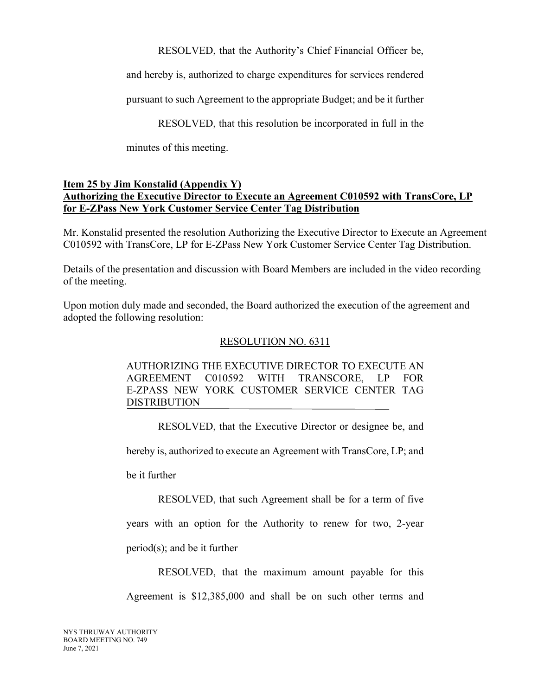RESOLVED, that the Authority's Chief Financial Officer be,

and hereby is, authorized to charge expenditures for services rendered

pursuant to such Agreement to the appropriate Budget; and be it further

RESOLVED, that this resolution be incorporated in full in the

minutes of this meeting.

## **Item 25 by Jim Konstalid (Appendix Y) Authorizing the Executive Director to Execute an Agreement C010592 with TransCore, LP for E-ZPass New York Customer Service Center Tag Distribution**

Mr. Konstalid presented the resolution Authorizing the Executive Director to Execute an Agreement C010592 with TransCore, LP for E-ZPass New York Customer Service Center Tag Distribution.

Details of the presentation and discussion with Board Members are included in the video recording of the meeting.

Upon motion duly made and seconded, the Board authorized the execution of the agreement and adopted the following resolution:

# RESOLUTION NO. 6311

AUTHORIZING THE EXECUTIVE DIRECTOR TO EXECUTE AN AGREEMENT C010592 WITH TRANSCORE, LP FOR E-ZPASS NEW YORK CUSTOMER SERVICE CENTER TAG DISTRIBUTION

RESOLVED, that the Executive Director or designee be, and

hereby is, authorized to execute an Agreement with TransCore, LP; and

be it further

RESOLVED, that such Agreement shall be for a term of five

years with an option for the Authority to renew for two, 2-year period(s); and be it further

RESOLVED, that the maximum amount payable for this

Agreement is \$12,385,000 and shall be on such other terms and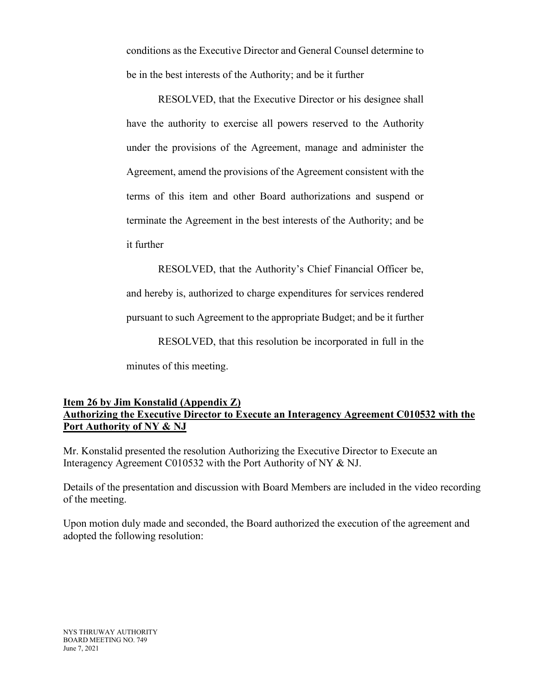conditions as the Executive Director and General Counsel determine to be in the best interests of the Authority; and be it further

RESOLVED, that the Executive Director or his designee shall have the authority to exercise all powers reserved to the Authority under the provisions of the Agreement, manage and administer the Agreement, amend the provisions of the Agreement consistent with the terms of this item and other Board authorizations and suspend or terminate the Agreement in the best interests of the Authority; and be it further

RESOLVED, that the Authority's Chief Financial Officer be, and hereby is, authorized to charge expenditures for services rendered pursuant to such Agreement to the appropriate Budget; and be it further RESOLVED, that this resolution be incorporated in full in the minutes of this meeting.

## **Item 26 by Jim Konstalid (Appendix Z) Authorizing the Executive Director to Execute an Interagency Agreement C010532 with the Port Authority of NY & NJ**

Mr. Konstalid presented the resolution Authorizing the Executive Director to Execute an Interagency Agreement C010532 with the Port Authority of NY & NJ.

Details of the presentation and discussion with Board Members are included in the video recording of the meeting.

Upon motion duly made and seconded, the Board authorized the execution of the agreement and adopted the following resolution: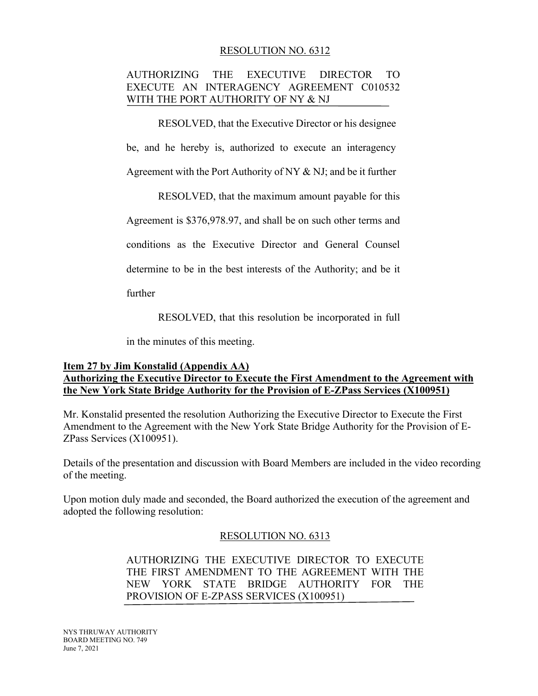### RESOLUTION NO. 6312

## AUTHORIZING THE EXECUTIVE DIRECTOR TO EXECUTE AN INTERAGENCY AGREEMENT C010532 WITH THE PORT AUTHORITY OF NY & NJ

RESOLVED, that the Executive Director or his designee

be, and he hereby is, authorized to execute an interagency

Agreement with the Port Authority of NY & NJ; and be it further

RESOLVED, that the maximum amount payable for this

Agreement is \$376,978.97, and shall be on such other terms and

conditions as the Executive Director and General Counsel

determine to be in the best interests of the Authority; and be it

further

RESOLVED, that this resolution be incorporated in full

in the minutes of this meeting.

## **Item 27 by Jim Konstalid (Appendix AA) Authorizing the Executive Director to Execute the First Amendment to the Agreement with the New York State Bridge Authority for the Provision of E-ZPass Services (X100951)**

Mr. Konstalid presented the resolution Authorizing the Executive Director to Execute the First Amendment to the Agreement with the New York State Bridge Authority for the Provision of E-ZPass Services (X100951).

Details of the presentation and discussion with Board Members are included in the video recording of the meeting.

Upon motion duly made and seconded, the Board authorized the execution of the agreement and adopted the following resolution:

### RESOLUTION NO. 6313

AUTHORIZING THE EXECUTIVE DIRECTOR TO EXECUTE THE FIRST AMENDMENT TO THE AGREEMENT WITH THE NEW YORK STATE BRIDGE AUTHORITY FOR THE PROVISION OF E-ZPASS SERVICES (X100951)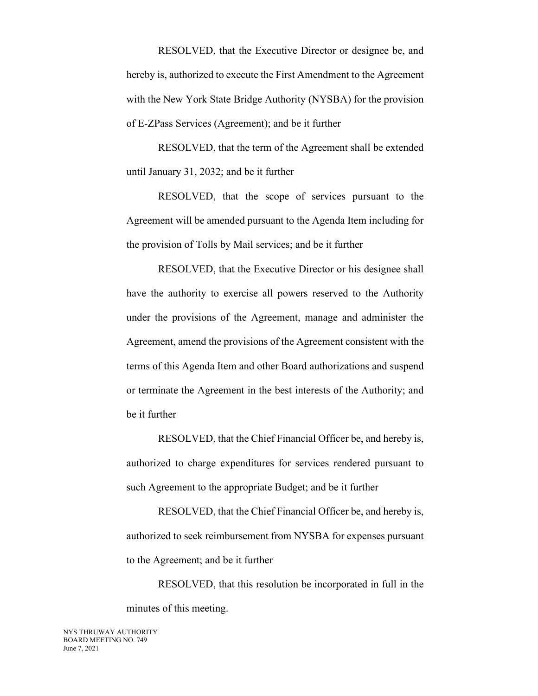RESOLVED, that the Executive Director or designee be, and hereby is, authorized to execute the First Amendment to the Agreement with the New York State Bridge Authority (NYSBA) for the provision of E-ZPass Services (Agreement); and be it further

RESOLVED, that the term of the Agreement shall be extended until January 31, 2032; and be it further

RESOLVED, that the scope of services pursuant to the Agreement will be amended pursuant to the Agenda Item including for the provision of Tolls by Mail services; and be it further

RESOLVED, that the Executive Director or his designee shall have the authority to exercise all powers reserved to the Authority under the provisions of the Agreement, manage and administer the Agreement, amend the provisions of the Agreement consistent with the terms of this Agenda Item and other Board authorizations and suspend or terminate the Agreement in the best interests of the Authority; and be it further

RESOLVED, that the Chief Financial Officer be, and hereby is, authorized to charge expenditures for services rendered pursuant to such Agreement to the appropriate Budget; and be it further

RESOLVED, that the Chief Financial Officer be, and hereby is, authorized to seek reimbursement from NYSBA for expenses pursuant to the Agreement; and be it further

RESOLVED, that this resolution be incorporated in full in the minutes of this meeting.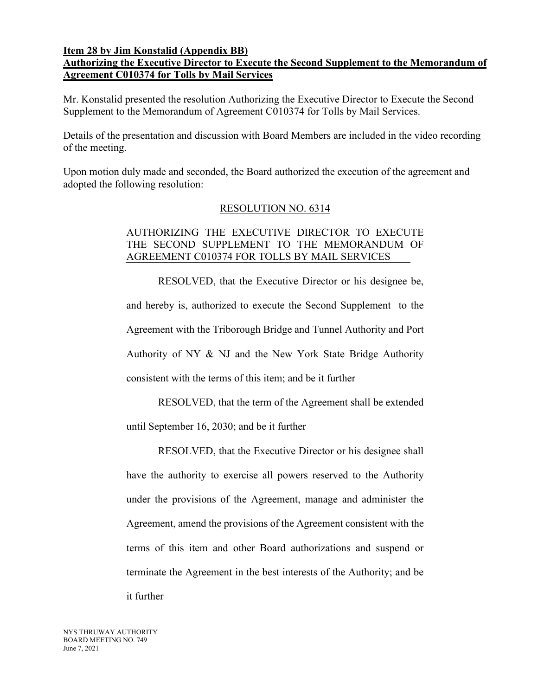### **Item 28 by Jim Konstalid (Appendix BB) Authorizing the Executive Director to Execute the Second Supplement to the Memorandum of Agreement C010374 for Tolls by Mail Services**

Mr. Konstalid presented the resolution Authorizing the Executive Director to Execute the Second Supplement to the Memorandum of Agreement C010374 for Tolls by Mail Services.

Details of the presentation and discussion with Board Members are included in the video recording of the meeting.

Upon motion duly made and seconded, the Board authorized the execution of the agreement and adopted the following resolution:

# RESOLUTION NO. 6314

## AUTHORIZING THE EXECUTIVE DIRECTOR TO EXECUTE THE SECOND SUPPLEMENT TO THE MEMORANDUM OF AGREEMENT C010374 FOR TOLLS BY MAIL SERVICES

RESOLVED, that the Executive Director or his designee be, and hereby is, authorized to execute the Second Supplement to the Agreement with the Triborough Bridge and Tunnel Authority and Port Authority of NY & NJ and the New York State Bridge Authority consistent with the terms of this item; and be it further

RESOLVED, that the term of the Agreement shall be extended until September 16, 2030; and be it further

RESOLVED, that the Executive Director or his designee shall have the authority to exercise all powers reserved to the Authority under the provisions of the Agreement, manage and administer the Agreement, amend the provisions of the Agreement consistent with the terms of this item and other Board authorizations and suspend or terminate the Agreement in the best interests of the Authority; and be it further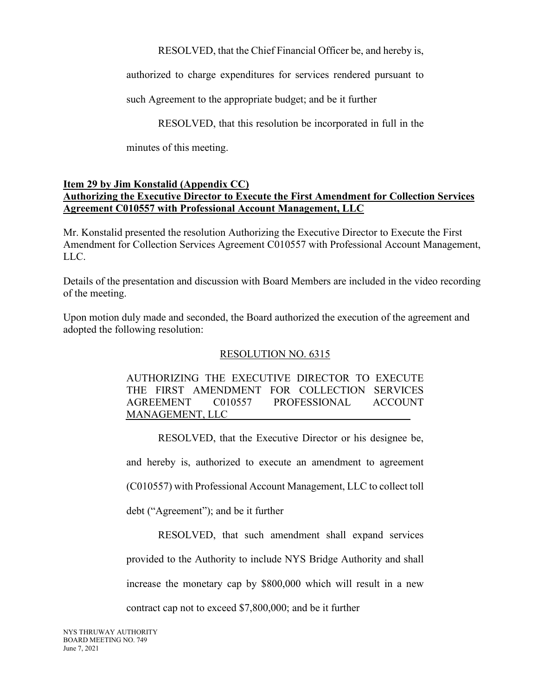RESOLVED, that the Chief Financial Officer be, and hereby is,

authorized to charge expenditures for services rendered pursuant to

such Agreement to the appropriate budget; and be it further

RESOLVED, that this resolution be incorporated in full in the

minutes of this meeting.

## **Item 29 by Jim Konstalid (Appendix CC) Authorizing the Executive Director to Execute the First Amendment for Collection Services Agreement C010557 with Professional Account Management, LLC**

Mr. Konstalid presented the resolution Authorizing the Executive Director to Execute the First Amendment for Collection Services Agreement C010557 with Professional Account Management, LLC.

Details of the presentation and discussion with Board Members are included in the video recording of the meeting.

Upon motion duly made and seconded, the Board authorized the execution of the agreement and adopted the following resolution:

# RESOLUTION NO. 6315

AUTHORIZING THE EXECUTIVE DIRECTOR TO EXECUTE THE FIRST AMENDMENT FOR COLLECTION SERVICES AGREEMENT C010557 PROFESSIONAL ACCOUNT MANAGEMENT, LLC

RESOLVED, that the Executive Director or his designee be,

and hereby is, authorized to execute an amendment to agreement

(C010557) with Professional Account Management, LLC to collect toll

debt ("Agreement"); and be it further

RESOLVED, that such amendment shall expand services provided to the Authority to include NYS Bridge Authority and shall increase the monetary cap by \$800,000 which will result in a new contract cap not to exceed \$7,800,000; and be it further